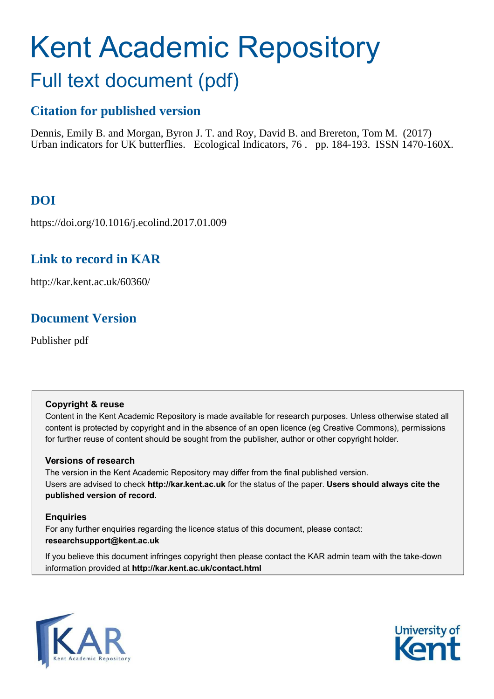# <span id="page-0-0"></span>Kent Academic Repository Full text document (pdf)

# **Citation for published version**

Dennis, Emily B. and Morgan, Byron J. T. and Roy, David B. and Brereton, Tom M. (2017) Urban indicators for UK butterflies. Ecological Indicators, 76 . pp. 184-193. ISSN 1470-160X.

# **DOI**

https://doi.org/10.1016/j.ecolind.2017.01.009

# **Link to record in KAR**

http://kar.kent.ac.uk/60360/

# **Document Version**

Publisher pdf

## **Copyright & reuse**

Content in the Kent Academic Repository is made available for research purposes. Unless otherwise stated all content is protected by copyright and in the absence of an open licence (eg Creative Commons), permissions for further reuse of content should be sought from the publisher, author or other copyright holder.

## **Versions of research**

The version in the Kent Academic Repository may differ from the final published version. Users are advised to check **http://kar.kent.ac.uk** for the status of the paper. **Users should always cite the published version of record.**

## **Enquiries**

For any further enquiries regarding the licence status of this document, please contact: **researchsupport@kent.ac.uk**

If you believe this document infringes copyright then please contact the KAR admin team with the take-down information provided at **http://kar.kent.ac.uk/contact.html**



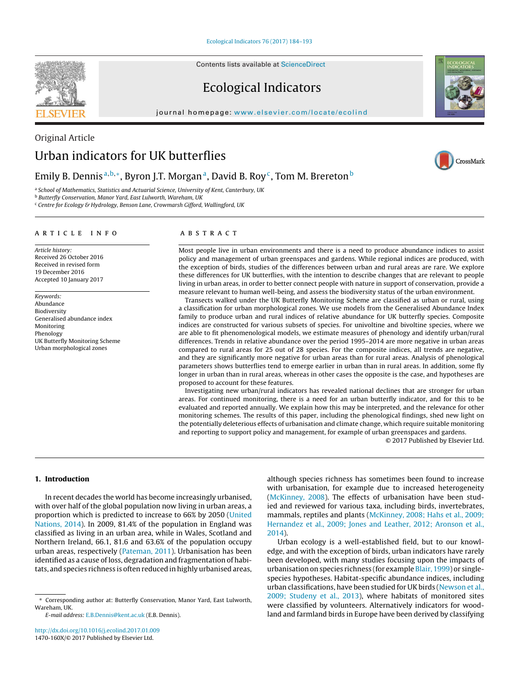Contents lists available at [ScienceDirect](http://www.sciencedirect.com/science/journal/1470160X)

## Ecological Indicators

journal homepage: [www.elsevier.com/locate/ecolind](http://www.elsevier.com/locate/ecolind)

## Original Article Urban indicators for UK butterflies

### Emily B. Dennis<u>a,[b](#page-0-0),</u>∗, [By](#page-0-0)ron J.T. Morganª, [Da](#page-0-0)vid B. Roy¢, [To](#page-0-0)m M. Brereton <sup>b</sup>

<sup>a</sup> School of Mathematics, Statistics and Actuarial Science, University of Kent, Canterbury, UK

**b Butterfly Conservation, Manor Yard, East Lulworth, Wareham, UK** 

<sup>c</sup> Centre for Ecology & Hydrology, Benson Lane, Crowmarsh Gifford, Wallingford, UK

#### a r t i c l e i n f o

#### Article history: Received 26 October 2016 Received in revised form 19 December 2016 Accepted 10 January 2017

Keywords: Abundance Biodiversity Generalised abundance index Monitoring Phenology UK Butterfly Monitoring Scheme Urban morphological zones

#### A B S T R A C T

Most people live in urban environments and there is a need to produce abundance indices to assist policy and management of urban greenspaces and gardens. While regional indices are produced, with the exception of birds, studies of the differences between urban and rural areas are rare. We explore these differences for UK butterflies, with the intention to describe changes that are relevant to people living in urban areas, in order to better connect people with nature in support of conservation, provide a measure relevant to human well-being, and assess the biodiversity status of the urban environment.

Transects walked under the UK Butterfly Monitoring Scheme are classified as urban or rural, using a classification for urban morphological zones. We use models from the Generalised Abundance Index family to produce urban and rural indices of relative abundance for UK butterfly species. Composite indices are constructed for various subsets of species. For univoltine and bivoltine species, where we are able to fit phenomenological models, we estimate measures of phenology and identify urban/rural differences. Trends in relative abundance over the period 1995–2014 are more negative in urban areas compared to rural areas for 25 out of 28 species. For the composite indices, all trends are negative, and they are significantly more negative for urban areas than for rural areas. Analysis of phenological parameters shows butterflies tend to emerge earlier in urban than in rural areas. In addition, some fly longer in urban than in rural areas, whereas in other cases the opposite is the case, and hypotheses are proposed to account for these features.

Investigating new urban/rural indicators has revealed national declines that are stronger for urban areas. For continued monitoring, there is a need for an urban butterfly indicator, and for this to be evaluated and reported annually. We explain how this may be interpreted, and the relevance for other monitoring schemes. The results of this paper, including the phenological findings, shed new light on the potentially deleterious effects of urbanisation and climate change, which require suitable monitoring and reporting to support policy and management, for example of urban greenspaces and gardens.

© 2017 Published by Elsevier Ltd.

#### 1. Introduction

In recent decades the world has become increasingly urbanised, with over half of the global population now living in urban areas, a proportion which is predicted to increase to 66% by 2050 ([United](#page-9-0) [Nations,](#page-9-0) [2014\).](#page-9-0) In 2009, 81.4% of the population in England was classified as living in an urban area, while in Wales, Scotland and Northern Ireland, 66.1, 81.6 and 63.6% of the population occupy urban areas, respectively [\(Pateman,](#page-9-0) [2011\).](#page-9-0) Urbanisation has been identified as a cause of loss, degradation and fragmentation of habitats, and species richness is often reduced in highly urbanised areas,

∗ Corresponding author at: Butterfly Conservation, Manor Yard, East Lulworth, Wareham, IIK.

E-mail address: [E.B.Dennis@kent.ac.uk](mailto:E.B.Dennis@kent.ac.uk) (E.B. Dennis).

[http://dx.doi.org/10.1016/j.ecolind.2017.01.009](dx.doi.org/10.1016/j.ecolind.2017.01.009) 1470-160X/© 2017 Published by Elsevier Ltd.

although species richness has sometimes been found to increase with urbanisation, for example due to increased heterogeneity [\(McKinney,](#page-8-0) [2008\).](#page-8-0) The effects of urbanisation have been studied and reviewed for various taxa, including birds, invertebrates, mammals, reptiles and plants ([McKinney,](#page-8-0) [2008;](#page-8-0) [Hahs](#page-8-0) et [al.,](#page-8-0) [2009;](#page-8-0) [Hernandez](#page-8-0) et [al.,](#page-8-0) [2009;](#page-8-0) [Jones](#page-8-0) [and](#page-8-0) [Leather,](#page-8-0) [2012;](#page-8-0) [Aronson](#page-8-0) et [al.,](#page-8-0) [2014\).](#page-8-0)

Urban ecology is a well-established field, but to our knowledge, and with the exception of birds, urban indicators have rarely been developed, with many studies focusing upon the impacts of urbanisation on species richness (for example [Blair,](#page-8-0) [1999\)](#page-8-0) or singlespecies hypotheses. Habitat-specific abundance indices, including urban classifications, have been studied for UK birds ([Newson](#page-9-0) et [al.,](#page-9-0) [2009;](#page-9-0) [Studeny](#page-9-0) et [al.,](#page-9-0) [2013\),](#page-9-0) where habitats of monitored sites were classified by volunteers. Alternatively indicators for woodland and farmland birds in Europe have been derived by classifying





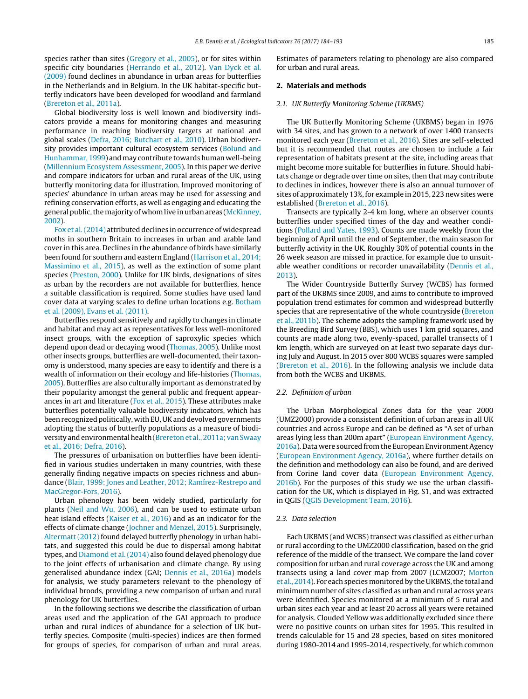<span id="page-2-0"></span>species rather than sites ([Gregory](#page-8-0) et [al.,](#page-8-0) [2005\),](#page-8-0) or for sites within specific city boundaries ([Herrando](#page-8-0) et [al.,](#page-8-0) [2012\).](#page-8-0) [Van](#page-9-0) [Dyck](#page-9-0) et [al.](#page-9-0) [\(2009\)](#page-9-0) found declines in abundance in urban areas for butterflies in the Netherlands and in Belgium. In the UK habitat-specific butterfly indicators have been developed for woodland and farmland ([Brereton](#page-8-0) et [al.,](#page-8-0) [2011a\).](#page-8-0)

Global biodiversity loss is well known and biodiversity indicators provide a means for monitoring changes and measuring performance in reaching biodiversity targets at national and global scales ([Defra,](#page-8-0) [2016;](#page-8-0) [Butchart](#page-8-0) et [al.,](#page-8-0) [2010\).](#page-8-0) Urban biodiver-sity provides important cultural ecosystem services ([Bolund](#page-8-0) [and](#page-8-0) [Hunhammar,](#page-8-0) [1999\)](#page-8-0) andmay contribute towards human well-being ([Millennium](#page-8-0) [Ecosystem](#page-8-0) [Assessment,](#page-8-0) [2005\).](#page-8-0) In this paper we derive and compare indicators for urban and rural areas of the UK, using butterfly monitoring data for illustration. Improved monitoring of species' abundance in urban areas may be used for assessing and refining conservation efforts, as well as engaging and educating the general public, the majority of whom live in urban areas ([McKinney,](#page-8-0) [2002\).](#page-8-0)

[Fox](#page-8-0) et [al.\(2014\)](#page-8-0) attributed declines in occurrence of widespread moths in southern Britain to increases in urban and arable land cover in this area. Declines in the abundance of birds have similarly been found for southern and eastern England [\(Harrison](#page-8-0) et [al.,](#page-8-0) [2014;](#page-8-0) [Massimino](#page-8-0) et [al.,](#page-8-0) [2015\),](#page-8-0) as well as the extinction of some plant species [\(Preston,](#page-9-0) [2000\).](#page-9-0) Unlike for UK birds, designations of sites as urban by the recorders are not available for butterflies, hence a suitable classification is required. Some studies have used land cover data at varying scales to define urban locations e.g. [Botham](#page-8-0) et [al.](#page-8-0) [\(2009\),](#page-8-0) [Evans](#page-8-0) et [al.](#page-8-0) [\(2011\).](#page-8-0)

Butterflies respond sensitively and rapidly to changes in climate and habitat and may act as representatives for less well-monitored insect groups, with the exception of saproxylic species which depend upon dead or decaying wood [\(Thomas,](#page-9-0) [2005\).](#page-9-0) Unlike most other insects groups, butterflies are well-documented, their taxonomy is understood, many species are easy to identify and there is a wealth of information on their ecology and life-histories [\(Thomas,](#page-9-0) [2005\).](#page-9-0) Butterflies are also culturally important as demonstrated by their popularity amongst the general public and frequent appearances in art and literature ([Fox](#page-8-0) et [al.,](#page-8-0) [2015\).](#page-8-0) These attributes make butterflies potentially valuable biodiversity indicators, which has been recognized politically, with EU, UKand devolved governments adopting the status of butterfly populations as a measure of biodiversity and environmental health (Brereton et [al.,](#page-8-0) [2011a;](#page-8-0) van Swaay et [al.,](#page-8-0) [2016;](#page-8-0) [Defra,](#page-8-0) [2016\).](#page-8-0)

The pressures of urbanisation on butterflies have been identified in various studies undertaken in many countries, with these generally finding negative impacts on species richness and abundance [\(Blair,](#page-8-0) [1999;](#page-8-0) [Jones](#page-8-0) [and](#page-8-0) [Leather,](#page-8-0) [2012;](#page-8-0) [Ramírez-Restrepo](#page-8-0) [and](#page-8-0) [MacGregor-Fors,](#page-8-0) [2016\).](#page-8-0)

Urban phenology has been widely studied, particularly for plants ([Neil](#page-9-0) [and](#page-9-0) [Wu,](#page-9-0) [2006\),](#page-9-0) and can be used to estimate urban heat island effects [\(Kaiser](#page-8-0) et [al.,](#page-8-0) [2016\)](#page-8-0) and as an indicator for the effects of climate change [\(Jochner](#page-8-0) [and](#page-8-0) [Menzel,](#page-8-0) [2015\).](#page-8-0) Surprisingly, [Altermatt](#page-8-0) [\(2012\)](#page-8-0) found delayed butterfly phenology in urban habitats, and suggested this could be due to dispersal among habitat types, and [Diamond](#page-8-0) et [al.](#page-8-0) [\(2014\)](#page-8-0) also found delayed phenology due to the joint effects of urbanisation and climate change. By using generalised abundance index (GAI; [Dennis](#page-8-0) et [al.,](#page-8-0) [2016a\)](#page-8-0) models for analysis, we study parameters relevant to the phenology of individual broods, providing a new comparison of urban and rural phenology for UK butterflies.

In the following sections we describe the classification of urban areas used and the application of the GAI approach to produce urban and rural indices of abundance for a selection of UK butterfly species. Composite (multi-species) indices are then formed for groups of species, for comparison of urban and rural areas. Estimates of parameters relating to phenology are also compared for urban and rural areas.

#### 2. Materials and methods

#### 2.1. UK Butterfly Monitoring Scheme (UKBMS)

The UK Butterfly Monitoring Scheme (UKBMS) began in 1976 with 34 sites, and has grown to a network of over 1400 transects monitored each year ([Brereton](#page-8-0) et [al.,](#page-8-0) [2016\).](#page-8-0) Sites are self-selected but it is recommended that routes are chosen to include a fair representation of habitats present at the site, including areas that might become more suitable for butterflies in future. Should habitats change or degrade over time on sites, then that may contribute to declines in indices, however there is also an annual turnover of sites of approximately 13%,for example in 2015, 223 new sites were established ([Brereton](#page-8-0) et [al.,](#page-8-0) [2016\).](#page-8-0)

Transects are typically 2-4 km long, where an observer counts butterflies under specified times of the day and weather conditions ([Pollard](#page-9-0) [and](#page-9-0) [Yates,](#page-9-0) [1993\).](#page-9-0) Counts are made weekly from the beginning of April until the end of September, the main season for butterfly activity in the UK. Roughly 30% of potential counts in the 26 week season are missed in practice, for example due to unsuitable weather conditions or recorder unavailability [\(Dennis](#page-8-0) et [al.,](#page-8-0) [2013\).](#page-8-0)

The Wider Countryside Butterfly Survey (WCBS) has formed part of the UKBMS since 2009, and aims to contribute to improved population trend estimates for common and widespread butterfly species that are representative of the whole countryside [\(Brereton](#page-8-0) et [al.,](#page-8-0) [2011b\).](#page-8-0) The scheme adopts the sampling framework used by the Breeding Bird Survey (BBS), which uses 1 km grid squares, and counts are made along two, evenly-spaced, parallel transects of 1 km length, which are surveyed on at least two separate days during July and August. In 2015 over 800 WCBS squares were sampled [\(Brereton](#page-8-0) et [al.,](#page-8-0) [2016\).](#page-8-0) In the following analysis we include data from both the WCBS and UKBMS.

#### 2.2. Definition of urban

The Urban Morphological Zones data for the year 2000 (UMZ2000) provide a consistent definition of urban areas in all UK countries and across Europe and can be defined as "A set of urban areas lying less than 200m apart" ([European](#page-8-0) [Environment](#page-8-0) [Agency,](#page-8-0) [2016a\).](#page-8-0) Data were sourced from the European Environment Agency [\(European](#page-8-0) [Environment](#page-8-0) [Agency,](#page-8-0) [2016a\),](#page-8-0) where further details on the definition and methodology can also be found, and are derived from Corine land cover data ([European](#page-8-0) [Environment](#page-8-0) [Agency,](#page-8-0) [2016b\).](#page-8-0) For the purposes of this study we use the urban classification for the UK, which is displayed in Fig. S1, and was extracted in QGIS ([QGIS](#page-9-0) [Development](#page-9-0) [Team,](#page-9-0) [2016\).](#page-9-0)

#### 2.3. Data selection

Each UKBMS (and WCBS) transect was classified as either urban or rural according to the UMZ2000 classification, based on the grid reference of the middle of the transect. We compare the land cover composition for urban and rural coverage across the UK and among transects using a land cover map from 2007 (LCM2007; [Morton](#page-9-0) et [al.,](#page-9-0) [2014\).](#page-9-0) For each species monitored by the UKBMS, the total and minimum number of sites classified as urban and rural across years were identified. Species monitored at a minimum of 5 rural and urban sites each year and at least 20 across all years were retained for analysis. Clouded Yellow was additionally excluded since there were no positive counts on urban sites for 1995. This resulted in trends calculable for 15 and 28 species, based on sites monitored during 1980-2014 and 1995-2014, respectively, for which common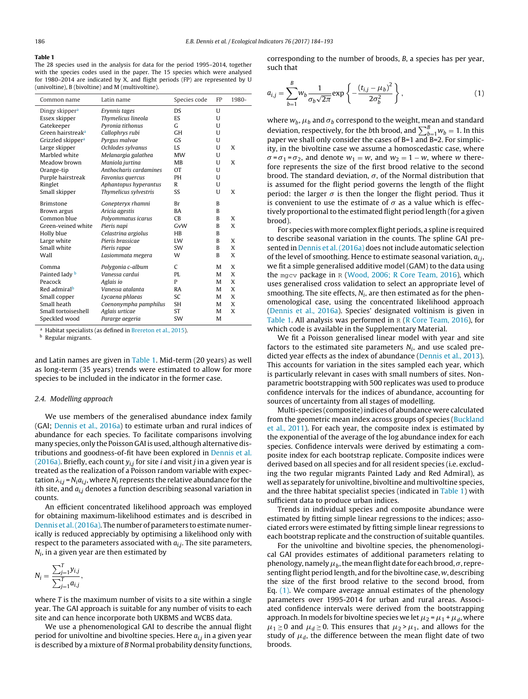#### <span id="page-3-0"></span>Table 1

The 28 species used in the analysis for data for the period 1995–2014, together with the species codes used in the paper. The 15 species which were analysed for 1980–2014 are indicated by X, and flight periods (FP) are represented by U (univoltine), B (bivoltine) and M (multivoltine).

| Common name                   | Latin name             | Species code | FP | 1980- |
|-------------------------------|------------------------|--------------|----|-------|
| Dingy skipper <sup>a</sup>    | Erynnis tages          | DS           | U  |       |
| Essex skipper                 | Thymelicus lineola     | <b>ES</b>    | U  |       |
| Gatekeeper                    | Pyronia tithonus       | G            | U  |       |
| Green hairstreak <sup>a</sup> | Callophrys rubi        | <b>GH</b>    | U  |       |
| Grizzled skipper <sup>a</sup> | Pyrgus malvae          | GS.          | U  |       |
| Large skipper                 | Ochlodes sylvanus      | LS           | U  | X     |
| Marbled white                 | Melanargia galathea    | <b>MW</b>    | U  |       |
| Meadow brown                  | Maniola jurtina        | <b>MB</b>    | U  | X     |
| Orange-tip                    | Anthocharis cardamines | <b>OT</b>    | U  |       |
| Purple hairstreak             | Favonius quercus       | PH           | U  |       |
| Ringlet                       | Aphantopus hyperantus  | R            | U  |       |
| Small skipper                 | Thymelicus sylvestris  | SS           | U  | X     |
| <b>Brimstone</b>              | Gonepteryx rhamni      | Br           | B  |       |
| Brown argus                   | Aricia agestis         | BA           | B  |       |
| Common blue                   | Polyommatus icarus     | <b>CB</b>    | B  | X     |
| Green-veined white            | Pieris napi            | GvW          | B  | X     |
| Holly blue                    | Celastrina argiolus    | HR           | B  |       |
| Large white                   | Pieris brassicae       | <b>I.W</b>   | B  | X     |
| Small white                   | Pieris rapae           | SW           | B  | X     |
| Wall                          | Lasiommata megera      | W            | B  | X     |
| Comma                         | Polygonia c-album      | C            | M  | X     |
| Painted lady b                | Vanessa cardui         | PL.          | м  | X     |
| Peacock                       | Aglais io              | P            | м  | X     |
| Red admiral <sup>b</sup>      | Vanessa atalanta       | RA           | М  | X     |
| Small copper                  | Lycaena phlaeas        | <b>SC</b>    | M  | X     |
| Small heath                   | Coenonympha pamphilus  | <b>SH</b>    | м  | X     |
| Small tortoiseshell           | Aglais urticae         | <b>ST</b>    | м  | X     |
| Speckled wood                 | Pararge aegeria        | SW           | M  |       |

<sup>a</sup> Habitat specialists (as defined in [Brereton](#page-8-0) et [al.,](#page-8-0) [2015\).](#page-8-0)

**b** Regular migrants.

and Latin names are given in [Table](#page-2-0) 1. Mid-term (20 years) as well as long-term (35 years) trends were estimated to allow for more species to be included in the indicator in the former case.

#### 2.4. Modelling approach

We use members of the generalised abundance index family (GAI; [Dennis](#page-8-0) et [al.,](#page-8-0) [2016a\)](#page-8-0) to estimate urban and rural indices of abundance for each species. To facilitate comparisons involving many species, only the Poisson GAI is used, although alternative distributions and goodness-of-fit have been explored in [Dennis](#page-8-0) et [al.](#page-8-0) [\(2016a\).](#page-8-0) Briefly, each count  $y_{i,j}$  for site  $i$  and visit  $j$  in a given year is treated as the realization of a Poisson random variable with expectation  $\lambda_{i,j}$  =  $N_i a_{i,j}$ , where  $N_i$  represents the relative abundance for the ith site, and  $a_{ij}$  denotes a function describing seasonal variation in counts.

An efficient concentrated likelihood approach was employed for obtaining maximum-likelihood estimates and is described in [Dennis](#page-8-0) et al. (2016a). The number of parameters to estimate numerically is reduced appreciably by optimising a likelihood only with respect to the parameters associated with  $a_{i,j}.$  The site parameters,  $N_i$ , in a given year are then estimated by

$$
N_i = \frac{\sum_{j=1}^{T} y_{i,j}}{\sum_{j=1}^{T} a_{i,j}},
$$

where  $T$  is the maximum number of visits to a site within a single year. The GAI approach is suitable for any number of visits to each site and can hence incorporate both UKBMS and WCBS data.

We use a phenomenological GAI to describe the annual flight period for univoltine and bivoltine species. Here  $a_{i,j}$  in a given year is described by a mixture of B Normal probability density functions, corresponding to the number of broods, B, a species has per year, such that

$$
a_{i,j} = \sum_{b=1}^{B} w_b \frac{1}{\sigma_b \sqrt{2\pi}} \exp\left\{-\frac{(t_{i,j} - \mu_b)^2}{2\sigma_b^2}\right\},
$$
 (1)

where  $w_b$ ,  $\mu_b$  and  $\sigma_b$  correspond to the weight, mean and standard deviation, respectively, for the *b*th brood, and  $\sum_{b=1}^{B} w_b = 1$ . In this paper we shall only consider the cases of  $B=1$  and  $\overline{B}=2$ . For simplicity, in the bivoltine case we assume a homoscedastic case, where  $\sigma$  =  $\sigma$ <sub>1</sub> =  $\sigma$ <sub>2</sub>, and denote w<sub>1</sub> = w, and w<sub>2</sub> = 1 – w, where w therefore represents the size of the first brood relative to the second brood. The standard deviation,  $\sigma$ , of the Normal distribution that is assumed for the flight period governs the length of the flight period: the larger  $\sigma$  is then the longer the flight period. Thus it is convenient to use the estimate of  $\sigma$  as a value which is effectively proportional to the estimated flight period length (for a given brood).

For species with more complex flight periods, a spline is required to describe seasonal variation in the counts. The spline GAI pre-sented in [Dennis](#page-8-0) et al. (2016a) does not include automatic selection of the level of smoothing. Hence to estimate seasonal variation,  $a_{ij}$ , we fit a simple generalised additive model (GAM) to the data using the mgcv package in R ([Wood,](#page-9-0) [2006;](#page-9-0) [R](#page-9-0) [Core](#page-9-0) [Team,](#page-9-0) [2016\),](#page-9-0) which uses generalised cross validation to select an appropriate level of smoothing. The site effects,  $N_i$ , are then estimated as for the phenomenological case, using the concentrated likelihood approach [\(Dennis](#page-8-0) et [al.,](#page-8-0) [2016a\).](#page-8-0) Species' designated voltinism is given in [Table](#page-2-0) 1. All analysis was performed in R ([R](#page-9-0) [Core](#page-9-0) [Team,](#page-9-0) [2016\),](#page-9-0) for which code is available in the Supplementary Material.

We fit a Poisson generalised linear model with year and site factors to the estimated site parameters  $N_i$ , and use scaled predicted year effects as the index of abundance ([Dennis](#page-8-0) et [al.,](#page-8-0) [2013\).](#page-8-0) This accounts for variation in the sites sampled each year, which is particularly relevant in cases with small numbers of sites. Nonparametric bootstrapping with 500 replicates was used to produce confidence intervals for the indices of abundance, accounting for sources of uncertainty from all stages of modelling.

Multi-species (composite)indices of abundance were calculated from the geometric mean index across groups of species ([Buckland](#page-8-0) et [al.,](#page-8-0) [2011\).](#page-8-0) For each year, the composite index is estimated by the exponential of the average of the log abundance index for each species. Confidence intervals were derived by estimating a composite index for each bootstrap replicate. Composite indices were derived based on all species and for all resident species (i.e. excluding the two regular migrants Painted Lady and Red Admiral), as well as separately for univoltine, bivoltine and multivoltine species, and the three habitat specialist species (indicated in [Table](#page-2-0) 1) with sufficient data to produce urban indices.

Trends in individual species and composite abundance were estimated by fitting simple linear regressions to the indices; associated errors were estimated by fitting simple linear regressions to each bootstrap replicate and the construction of suitable quantiles.

For the univoltine and bivoltine species, the phenomenological GAI provides estimates of additional parameters relating to phenology, namely  $\mu_b$ , the mean flight date for each brood,  $\sigma$ , representing flight period length, and for the bivoltine case, w, describing the size of the first brood relative to the second brood, from Eq.  $(1)$ . We compare average annual estimates of the phenology parameters over 1995-2014 for urban and rural areas. Associated confidence intervals were derived from the bootstrapping approach. In models for bivoltine species we let  $\mu_2$  =  $\mu_1$  +  $\mu_d$ , where  $\mu_1 \geq 0$  and  $\mu_d \geq 0$ . This ensures that  $\mu_2 > \mu_1$ , and allows for the study of  $\mu_d$ , the difference between the mean flight date of two broods.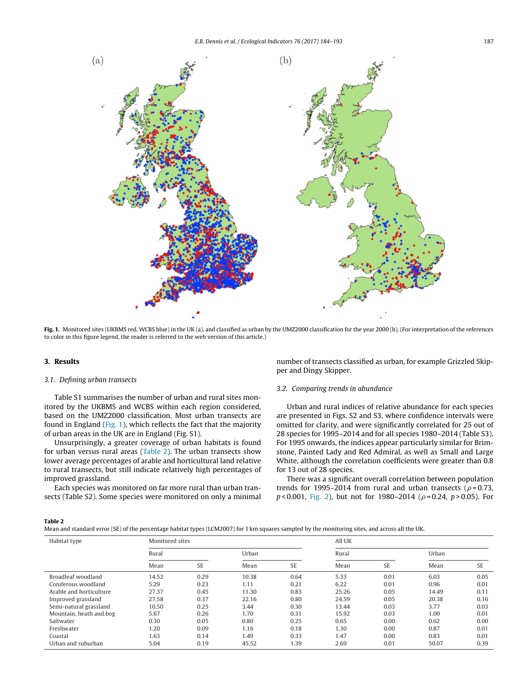<span id="page-4-0"></span>

Fig. 1. Monitored sites (UKBMS red, WCBS blue) in the UK (a), and classified as urban by the UMZ2000 classification for the year 2000 (b). (For interpretation of the references to color in this figure legend, the reader is referred to the web version of this article.)

#### 3. Results

#### 3.1. Defining urban transects

Table S1 summarises the number of urban and rural sites monitored by the UKBMS and WCBS within each region considered, based on the UMZ2000 classification. Most urban transects are found in England ([Fig.](#page-3-0) 1), which reflects the fact that the majority of urban areas in the UK are in England (Fig. S1).

Unsurprisingly, a greater coverage of urban habitats is found for urban versus rural areas [\(Table](#page-3-0) 2). The urban transects show lower average percentages of arable and horticultural land relative to rural transects, but still indicate relatively high percentages of improved grassland.

Each species was monitored on far more rural than urban transects (Table S2). Some species were monitored on only a minimal number of transects classified as urban, for example Grizzled Skipper and Dingy Skipper.

#### 3.2. Comparing trends in abundance

Urban and rural indices of relative abundance for each species are presented in Figs. S2 and S3, where confidence intervals were omitted for clarity, and were significantly correlated for 25 out of 28 species for 1995–2014 and for all species 1980–2014 (Table S3). For 1995 onwards, the indices appear particularly similar for Brimstone, Painted Lady and Red Admiral, as well as Small and Large White, although the correlation coefficients were greater than 0.8 for 13 out of 28 species.

There was a significant overall correlation between population trends for 1995–2014 from rural and urban transects ( $\rho$ =0.73,  $p < 0.001$ , Fig. 2), but not for 1980–2014 ( $\rho = 0.24$ ,  $p > 0.05$ ). For

#### Table 2

Mean and standard error (SE) of the percentage habitat types (LCM2007) for 1 km squares sampled by the monitoring sites, and across all the UK.

| Habitat type            | Monitored sites |           |       |           | All UK |           |       |           |  |
|-------------------------|-----------------|-----------|-------|-----------|--------|-----------|-------|-----------|--|
|                         | Rural           |           | Urban |           | Rural  |           | Urban |           |  |
|                         | Mean            | <b>SE</b> | Mean  | <b>SE</b> | Mean   | <b>SE</b> | Mean  | <b>SE</b> |  |
| Broadleaf woodland      | 14.52           | 0.29      | 10.38 | 0.64      | 5.33   | 0.01      | 6.03  | 0.05      |  |
| Coniferous woodland     | 5.29            | 0.23      | 1.11  | 0.21      | 6.22   | 0.01      | 0.96  | 0.01      |  |
| Arable and horticulture | 27.37           | 0.45      | 11.30 | 0.83      | 25.26  | 0.05      | 14.49 | 0.11      |  |
| Improved grassland      | 27.58           | 0.37      | 22.16 | 0.80      | 24.59  | 0.05      | 20.38 | 0.16      |  |
| Semi-natural grassland  | 10.50           | 0.25      | 3.44  | 0.30      | 13.44  | 0.03      | 3.77  | 0.03      |  |
| Mountain, heath and bog | 5.67            | 0.26      | 1.70  | 0.31      | 15.92  | 0.03      | 1.00  | 0.01      |  |
| Saltwater               | 0.30            | 0.05      | 0.80  | 0.25      | 0.65   | 0.00      | 0.62  | 0.00      |  |
| Freshwater              | 1.20            | 0.09      | 1.16  | 0.18      | 1.30   | 0.00      | 0.87  | 0.01      |  |
| Coastal                 | 1.63            | 0.14      | 1.49  | 0.33      | 1.47   | 0.00      | 0.83  | 0.01      |  |
| Urban and suburban      | 5.04            | 0.19      | 45.52 | 1.39      | 2.69   | 0.01      | 50.07 | 0.39      |  |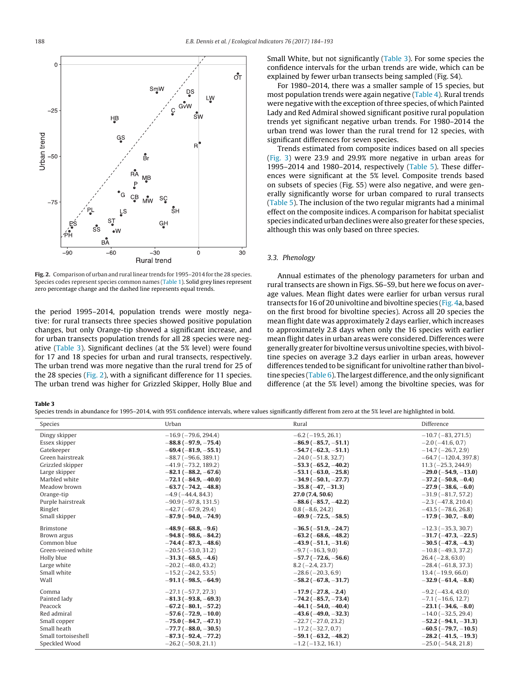

Fig. 2. Comparison of urban and rural linear trends for 1995-2014 for the 28 species. Species codes represent species common names [\(Table](#page-2-0) 1). Solid grey lines represent zero percentage change and the dashed line represents equal trends.

the period 1995–2014, population trends were mostly negative: for rural transects three species showed positive population changes, but only Orange-tip showed a significant increase, and for urban transects population trends for all 28 species were negative ([Table](#page-4-0) 3). Significant declines (at the 5% level) were found for 17 and 18 species for urban and rural transects, respectively. The urban trend was more negative than the rural trend for 25 of the 28 species ([Fig.](#page-4-0) 2), with a significant difference for 11 species. The urban trend was higher for Grizzled Skipper, Holly Blue and

Small White, but not significantly ([Table](#page-4-0) 3). For some species the confidence intervals for the urban trends are wide, which can be explained by fewer urban transects being sampled (Fig. S4).

For 1980–2014, there was a smaller sample of 15 species, but most population trends were again negative (Table 4). Rural trends were negative with the exception of three species, of which Painted Lady and Red Admiral showed significant positive rural population trends yet significant negative urban trends. For 1980–2014 the urban trend was lower than the rural trend for 12 species, with significant differences for seven species.

Trends estimated from composite indices based on all species (Fig. 3) were 23.9 and 29.9% more negative in urban areas for 1995–2014 and 1980–2014, respectively (Table 5). These differences were significant at the 5% level. Composite trends based on subsets of species (Fig. S5) were also negative, and were generally significantly worse for urban compared to rural transects (Table 5). The inclusion of the two regular migrants had a minimal effect on the composite indices. A comparison for habitat specialist species indicated urban declines were also greater for these species, although this was only based on three species.

#### 3.3. Phenology

Annual estimates of the phenology parameters for urban and rural transects are shown in Figs. S6–S9, but here we focus on average values. Mean flight dates were earlier for urban versus rural transects for 16 of 20 univoltine and bivoltine species ([Fig.](#page-6-0) 4a, based on the first brood for bivoltine species). Across all 20 species the mean flight date was approximately 2 days earlier, which increases to approximately 2.8 days when only the 16 species with earlier mean flight dates in urban areas were considered. Differences were generally greater for bivoltine versus univoltine species, with bivoltine species on average 3.2 days earlier in urban areas, however differences tended to be significant for univoltine rather than bivol-tine species [\(Table](#page-6-0) 6). The largest difference, and the only significant difference (at the 5% level) among the bivoltine species, was for

#### Table 3

Species trends in abundance for 1995–2014, with 95% confidence intervals, where values significantly different from zero at the 5% level are highlighted in bold.

| Species             | Urban                      | Rural                      | Difference                 |
|---------------------|----------------------------|----------------------------|----------------------------|
| Dingy skipper       | $-16.9(-79.6, 294.4)$      | $-6.2$ ( $-19.5$ , 26.1)   | $-10.7(-83, 271.5)$        |
| Essex skipper       | $-88.8(-97.9,-75.4)$       | $-86.9(-85.7,-51.1)$       | $-2.0$ ( $-41.6$ , 0.7)    |
| Gatekeeper          | $-69.4(-81.9,-55.1)$       | $-54.7(-62.3,-51.1)$       | $-14.7(-26.7, 2.9)$        |
| Green hairstreak    | $-88.7(-96.6, 389.1)$      | $-24.0$ ( $-51.8$ , 32.7)  | $-64.7(-120.4, 397.8)$     |
| Grizzled skipper    | $-41.9(-73.2, 189.2)$      | $-53.3(-65.2, -40.2)$      | $11.3(-25.3, 244.9)$       |
| Large skipper       | $-82.1(-88.2,-67.6)$       | $-53.1(-63.0,-25.8)$       | $-29.0$ ( $-54.9, -13.0$ ) |
| Marbled white       | $-72.1(-84.9, -40.0)$      | $-34.9(-50.1,-27.7)$       | $-37.2(-50.8, -0.4)$       |
| Meadow brown        | $-63.7(-74.2,-48.8)$       | $-35.8(-47, -31.3)$        | $-27.9(-38.6,-6.0)$        |
| Orange-tip          | $-4.9(-44.4, 84.3)$        | 27.0 (7.4, 50.6)           | $-31.9(-81.7, 57.2)$       |
| Purple hairstreak   | $-90.9(-97.8, 131.5)$      | $-88.6(-85.7,-42.2)$       | $-2.3$ ( $-47.8$ , 210.4)  |
| Ringlet             | $-42.7(-67.9, 29.4)$       | $0.8(-8.6, 24.2)$          | $-43.5(-78.6, 26.8)$       |
| Small skipper       | $-87.9(-94.0,-74.9)$       | $-69.9(-72.5,-58.5)$       | $-17.9(-30.7,-8.0)$        |
| Brimstone           | $-48.9(-68.8,-9.6)$        | $-36.5(-51.9, -24.7)$      | $-12.3(-35.3, 30.7)$       |
| Brown argus         | $-94.8(-98.6, -84.2)$      | $-63.2$ ( $-68.6, -48.2$ ) | $-31.7(-47.3,-22.5)$       |
| Common blue         | $-74.4(-87.3,-48.6)$       | $-43.9(-51.1,-31.6)$       | $-30.5(-47.8, -4.3)$       |
| Green-veined white  | $-20.5(-53.0, 31.2)$       | $-9.7(-16.3, 9.0)$         | $-10.8$ ( $-49.3$ , 37.2)  |
| Holly blue          | $-31.3(-68.5,-4.6)$        | $-57.7(-72.6, -56.6)$      | $26.4(-2.8, 63.0)$         |
| Large white         | $-20.2$ ( $-48.0, 43.2$ )  | $8.2 (-2.4, 23.7)$         | $-28.4(-61.8, 37.3)$       |
| Small white         | $-15.2$ ( $-24.2$ , 53.5)  | $-28.6(-20.3, 6.9)$        | $13.4(-19.9, 66.0)$        |
| Wall                | $-91.1(-98.5, -64.9)$      | $-58.2(-67.8,-31.7)$       | $-32.9(-61.4,-8.8)$        |
| Comma               | $-27.1(-57.7, 27.3)$       | $-17.9(-27.8,-2.4)$        | $-9.2$ ( $-43.4$ , 43.0)   |
| Painted lady        | $-81.3(-93.8,-69.3)$       | $-74.2(-85.7, -73.4)$      | $-7.1(-16.6, 12.7)$        |
| Peacock             | $-67.2$ ( $-80.1, -57.2$ ) | $-44.1(-54.0, -40.4)$      | $-23.1(-34.6,-8.0)$        |
| Red admiral         | $-57.6(-72.9, -10.0)$      | $-43.6(-49.0, -32.3)$      | $-14.0$ ( $-32.5$ , 29.4)  |
| Small copper        | $-75.0(-84.7,-47.1)$       | $-22.7(-27.0, 23.2)$       | $-52.2$ ( $-94.1, -31.3$ ) |
| Small heath         | $-77.7(-88.0,-30.5)$       | $-17.2$ ( $-32.7, 0.7$ )   | $-60.5(-79.7,-10.5)$       |
| Small tortoiseshell | $-87.3(-92.4, -77.2)$      | $-59.1(-63.2,-48.2)$       | $-28.2$ ( $-41.5, -19.3$ ) |
| Speckled Wood       | $-26.2$ ( $-50.8$ , 21.1)  | $-1.2$ ( $-13.2$ , 16.1)   | $-25.0$ ( $-54.8$ , 21.8)  |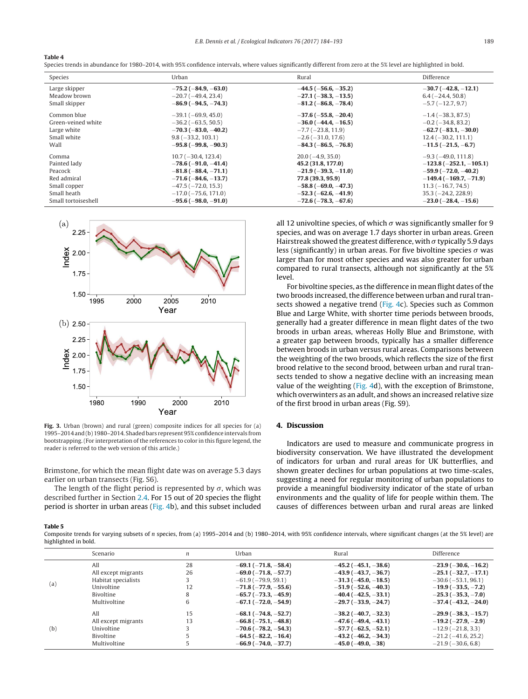#### <span id="page-6-0"></span>Table 4

Species trends in abundance for 1980–2014, with 95% confidence intervals, where values significantly different from zero at the 5% level are highlighted in bold.

| Species             | Urban                      | Rural                      | Difference                 |
|---------------------|----------------------------|----------------------------|----------------------------|
| Large skipper       | $-75.2$ ( $-84.9, -63.0$ ) | $-44.5(-56.6,-35.2)$       | $-30.7(-42.8,-12.1)$       |
| Meadow brown        | $-20.7(-49.4, 23.4)$       | $-27.1(-38.3,-13.5)$       | $6.4(-24.4, 50.8)$         |
| Small skipper       | $-86.9(-94.5,-74.3)$       | $-81.2(-86.8,-78.4)$       | $-5.7(-12.7, 9.7)$         |
| Common blue         | $-39.1(-69.9, 45.0)$       | $-37.6(-55.8,-20.4)$       | $-1.4(-38.3, 87.5)$        |
| Green-veined white  | $-36.2$ ( $-63.5, 50.5$ )  | $-36.0$ ( $-44.4, -16.5$ ) | $-0.2$ ( $-34.8$ , 83.2)   |
| Large white         | $-70.3(-83.0,-40.2)$       | $-7.7(-23.8, 11.9)$        | $-62.7(-83.1,-30.0)$       |
| Small white         | $9.8(-33.2, 103.1)$        | $-2.6(-31.0, 17.6)$        | $12.4(-30.2, 111.1)$       |
| Wall                | $-95.8(-99.8,-90.3)$       | $-84.3(-86.5,-76.8)$       | $-11.5(-21.5,-6.7)$        |
| Comma               | $10.7(-30.4, 123.4)$       | $20.0(-4.9, 35.0)$         | $-9.3$ ( $-49.0$ , 111.8)  |
| Painted lady        | $-78.6$ ( $-91.0, -41.4$ ) | 45.2 (31.8, 177.0)         | $-123.8(-252.1,-105.1)$    |
| Peacock             | $-81.8(-88.4,-71.1)$       | $-21.9(-39.3,-11.0)$       | $-59.9(-72.0,-40.2)$       |
| Red admiral         | $-71.6(-84.6,-13.7)$       | 77.8 (39.3, 95.9)          | $-149.4(-169.7,-71.9)$     |
| Small copper        | $-47.5(-72.0, 15.3)$       | $-58.8(-69.0,-47.3)$       | $11.3(-16.7, 74.5)$        |
| Small heath         | $-17.0$ ( $-75.6$ , 171.0) | $-52.3(-62.6,-41.9)$       | $35.3(-24.2, 228.9)$       |
| Small tortoiseshell | $-95.6(-98.0,-91.0)$       | $-72.6$ ( $-78.3, -67.6$ ) | $-23.0$ ( $-28.4, -15.6$ ) |



Fig. 3. Urban (brown) and rural (green) composite indices for all species for (a) 1995–2014 and(b) 1980–2014. Shadedbars represent 95%confidence intervals from bootstrapping. (For interpretation of the references to color in this figure legend, the reader is referred to the web version of this article.)

Brimstone, for which the mean flight date was on average 5.3 days earlier on urban transects (Fig. S6).

The length of the flight period is represented by  $\sigma$ , which was described further in Section [2.4.](#page-2-0) For 15 out of 20 species the flight period is shorter in urban areas (Fig. 4b), and this subset included

all 12 univoltine species, of which  $\sigma$  was significantly smaller for 9 species, and was on average 1.7 days shorter in urban areas. Green Hairstreak showed the greatest difference, with  $\sigma$  typically 5.9 days less (significantly) in urban areas. For five bivoltine species  $\sigma$  was larger than for most other species and was also greater for urban compared to rural transects, although not significantly at the 5% level.

For bivoltine species, as the difference in mean flight dates of the two broods increased, the difference between urban and rural transects showed a negative trend (Fig. 4c). Species such as Common Blue and Large White, with shorter time periods between broods, generally had a greater difference in mean flight dates of the two broods in urban areas, whereas Holly Blue and Brimstone, with a greater gap between broods, typically has a smaller difference between broods in urban versus rural areas. Comparisons between the weighting of the two broods, which reflects the size of the first brood relative to the second brood, between urban and rural transects tended to show a negative decline with an increasing mean value of the weighting (Fig. 4d), with the exception of Brimstone, which overwinters as an adult, and shows an increased relative size of the first brood in urban areas (Fig. S9).

#### 4. Discussion

Indicators are used to measure and communicate progress in biodiversity conservation. We have illustrated the development of indicators for urban and rural areas for UK butterflies, and shown greater declines for urban populations at two time-scales, suggesting a need for regular monitoring of urban populations to provide a meaningful biodiversity indicator of the state of urban environments and the quality of life for people within them. The causes of differences between urban and rural areas are linked

Table 5

Composite trends for varying subsets of n species, from (a) 1995–2014 and (b) 1980–2014, with 95% confidence intervals, where significant changes (at the 5% level) are highlighted in bold.

|     | Scenario            | n  | Urban                      | Rural                      | Difference                |
|-----|---------------------|----|----------------------------|----------------------------|---------------------------|
|     | All                 | 28 | $-69.1(-71.8,-58.4)$       | $-45.2$ ( $-45.1, -38.6$ ) | $-23.9(-30.6, -16.2)$     |
|     | All except migrants | 26 | $-69.0$ ( $-71.8, -57.7$ ) | $-43.9(-43.7,-36.7)$       | $-25.1(-32.7,-17.1)$      |
|     | Habitat specialists |    | $-61.9(-79.9, 59.1)$       | $-31.3(-45.0, -18.5)$      | $-30.6(-53.1, 96.1)$      |
| (a) | Univoltine          | 12 | $-71.8$ ( $-77.9, -55.6$ ) | $-51.9(-52.6, -40.3)$      | $-19.9(-33.5,-7.2)$       |
|     | <b>Bivoltine</b>    |    | $-65.7(-73.3,-45.9)$       | $-40.4(-42.5,-33.1)$       | $-25.3(-35.3,-7.0)$       |
|     | Multivoltine        | 6  | $-67.1(-72.0,-54.9)$       | $-29.7(-33.9,-24.7)$       | $-37.4(-43.2,-24.0)$      |
| (b) | All                 | 15 | $-68.1(-74.8,-52.7)$       | $-38.2$ ( $-40.7, -32.3$ ) | $-29.9(-38.3,-15.7)$      |
|     | All except migrants | 13 | $-66.8$ ( $-75.1, -48.8$ ) | $-47.6(-49.4,-43.1)$       | $-19.2(-27.9,-2.9)$       |
|     | Univoltine          |    | $-70.6$ ( $-78.2, -54.3$ ) | $-57.7(-62.5,-52.1)$       | $-12.9(-21.8, 3.3)$       |
|     | Bivoltine           |    | $-64.5(-82.2,-16.4)$       | $-43.2$ ( $-46.2, -34.3$ ) | $-21.2$ ( $-41.6$ , 25.2) |
|     | Multivoltine        |    | $-66.9$ ( $-74.0, -37.7$ ) | $-45.0$ ( $-49.0, -38$ )   | $-21.9(-30.6, 6.8)$       |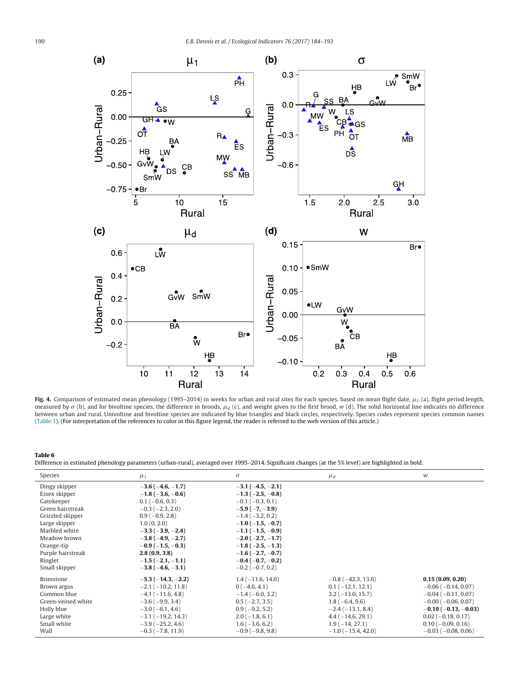

Fig. 4. Comparison of estimated mean phenology (1995-2014) in weeks for urban and rural sites for each species, based on mean flight date,  $\mu_1$  (a), flight period length, measured by  $\sigma$  (b), and for bivoltine species, the difference in broods,  $\mu_d$  (c), and weight given to the first brood, w (d). The solid horizontal line indicates no difference between urban and rural. Univoltine and bivoltine species are indicated by blue triangles and black circles, respectively. Species codes represent species common names [\(Table](#page-2-0) 1). (For interpretation of the references to color in this figure legend, the reader is referred to the web version of this article.)

#### Table 6

Difference in estimated phenology parameters (urban-rural), averaged over 1995–2014. Significant changes (at the 5% level) are highlighted in bold.

| Species            | $\mu_1$                 | $\sigma$                | $\mu_d$                  | w                          |
|--------------------|-------------------------|-------------------------|--------------------------|----------------------------|
| Dingy skipper      | $-3.6(-4.6,-1.7)$       | $-3.1(-4.5,-2.1)$       |                          |                            |
| Essex skipper      | $-1.8(-3.6, -0.6)$      | $-1.3(-2.5, -0.8)$      |                          |                            |
| Gatekeeper         | $0.1 (-0.6, 0.3)$       | $-0.1$ ( $-0.3, 0.1$ )  |                          |                            |
| Green hairstreak   | $-0.3(-2.3, 2.0)$       | $-5.9(-7, -3.9)$        |                          |                            |
| Grizzled skipper   | $0.9(-0.9, 2.8)$        | $-1.4(-3.2, 0.2)$       |                          |                            |
| Large skipper      | 1.0(0, 2.0)             | $-1.0$ ( $-1.5, -0.7$ ) |                          |                            |
| Marbled white      | $-3.3(-3.9,-2.4)$       | $-1.1(-1.5,-0.9)$       |                          |                            |
| Meadow brown       | $-3.8(-4.9,-2.7)$       | $-2.0$ ( $-2.7, -1.7$ ) |                          |                            |
| Orange-tip         | $-0.9(-1.5,-0.3)$       | $-1.8(-2.5,-1.3)$       |                          |                            |
| Purple hairstreak  | 2.8(0.9, 3.8)           | $-1.6(-2.7, -0.7)$      |                          |                            |
| Ringlet            | $-1.5(-2.1,-1.1)$       | $-0.4$ (-0.7, -0.2)     |                          |                            |
| Small skipper      | $-3.8(-4.6,-3.1)$       | $-0.2$ ( $-0.7, 0.2$ )  |                          |                            |
| Brimstone          | $-5.3(-14.3,-2.2)$      | $1.4(-11.6, 14.0)$      | $-0.8$ ( $-42.3$ , 13.6) | 0.15(0.09, 0.20)           |
| Brown argus        | $-2.1(-10.2, 11.8)$     | $0(-4.6, 4.1)$          | $0.1 (-12.1, 12.1)$      | $-0.06$ ( $-0.14$ , 0.07)  |
| Common blue        | $-4.1(-11.6, 4.8)$      | $-1.4(-6.0, 3.2)$       | $3.2(-13.0, 15.7)$       | $-0.04$ ( $-0.11$ , 0.07)  |
| Green-veined white | $-3.6(-9.9, 3.4)$       | $0.5(-2.7, 3.5)$        | $1.8(-6.4, 9.6)$         | $-0.00$ ( $-0.06$ , 0.07)  |
| Holly blue         | $-3.0(-6.1, 4.6)$       | $0.9(-9.2, 5.2)$        | $-2.4(-13.1, 8.4)$       | $-0.10$ ( $-0.13, -0.03$ ) |
| Large white        | $-3.1(-19.2, 14.3)$     | $2.0(-1.8, 6.1)$        | $4.4(-14.6, 29.1)$       | $0.02$ (-0.18, 0.17)       |
| Small white        | $-3.9(-25.2, 4.6)$      | $1.6(-3.6, 6.2)$        | $1.9(-14, 27.1)$         | $0.10(-0.09, 0.16)$        |
| Wall               | $-0.3$ ( $-7.8$ , 11.9) | $-0.9$ ( $-9.8$ , 9.8)  | $-1.0$ ( $-15.4$ , 42.0) | $-0.03$ ( $-0.08$ , 0.06)  |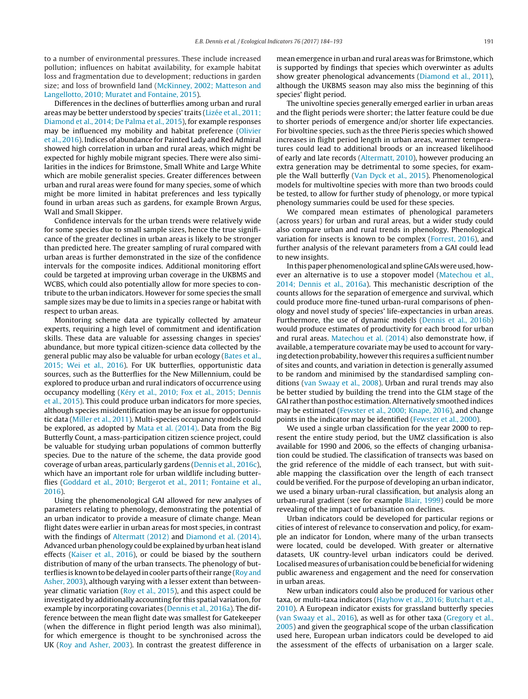<span id="page-8-0"></span>to a number of environmental pressures. These include increased pollution; influences on habitat availability, for example habitat loss and fragmentation due to development; reductions in garden size; and loss of brownfield land (McKinney, 2002; Matteson and Langellotto, 2010; Muratet and Fontaine, 2015).

Differences in the declines of butterflies among urban and rural areas may be better understood by species' traits (Lizée et al., 2011; Diamond et al., 2014; De Palma et al., 2015), for example responses may be influenced my mobility and habitat preference ([Olivier](#page-9-0) et [al.,](#page-9-0) [2016\).](#page-9-0) Indices of abundance for Painted Lady and Red Admiral showed high correlation in urban and rural areas, which might be expected for highly mobile migrant species. There were also similarities in the indices for Brimstone, Small White and Large White which are mobile generalist species. Greater differences between urban and rural areas were found for many species, some of which might be more limited in habitat preferences and less typically found in urban areas such as gardens, for example Brown Argus, Wall and Small Skipper.

Confidence intervals for the urban trends were relatively wide for some species due to small sample sizes, hence the true significance of the greater declines in urban areas is likely to be stronger than predicted here. The greater sampling of rural compared with urban areas is further demonstrated in the size of the confidence intervals for the composite indices. Additional monitoring effort could be targeted at improving urban coverage in the UKBMS and WCBS, which could also potentially allow for more species to contribute to the urban indicators. However for some species the small sample sizes may be due to limits in a species range or habitat with respect to urban areas.

Monitoring scheme data are typically collected by amateur experts, requiring a high level of commitment and identification skills. These data are valuable for assessing changes in species' abundance, but more typical citizen-science data collected by the general public may also be valuable for urban ecology (Bates et al., 2015; Wei et al., 2016). For UK butterflies, opportunistic data sources, such as the Butterflies for the New Millennium, could be explored to produce urban and rural indicators of occurrence using occupancy modelling (Kéry et al., 2010; Fox et al., 2015; Dennis et al., 2015). This could produce urban indicators for more species, although species misidentification may be an issue for opportunistic data (Miller et al., 2011). Multi-species occupancy models could be explored, as adopted by Mata et al. (2014). Data from the Big Butterfly Count, a mass-participation citizen science project, could be valuable for studying urban populations of common butterfly species. Due to the nature of the scheme, the data provide good coverage of urban areas, particularly gardens (Dennis et al., 2016c), which have an important role for urban wildlife including butterflies (Goddard et al., 2010; Bergerot et al., 2011; Fontaine et al., 2016).

Using the phenomenological GAI allowed for new analyses of parameters relating to phenology, demonstrating the potential of an urban indicator to provide a measure of climate change. Mean flight dates were earlier in urban areas for most species, in contrast with the findings of Altermatt (2012) and Diamond et al. (2014). Advanced urban phenology could be explained by urban heatisland effects (Kaiser et al., 2016), or could be biased by the southern distribution of many of the urban transects. The phenology of but-terflies is known to be delayed in cooler parts of their range [\(Roy](#page-9-0) [and](#page-9-0) [Asher,](#page-9-0) [2003\),](#page-9-0) although varying with a lesser extent than betweenyear climatic variation ([Roy](#page-9-0) et [al.,](#page-9-0) [2015\),](#page-9-0) and this aspect could be investigated by additionally accounting for this spatial variation, for example by incorporating covariates (Dennis et al., 2016a). The difference between the mean flight date was smallest for Gatekeeper (when the difference in flight period length was also minimal), for which emergence is thought to be synchronised across the UK [\(Roy](#page-9-0) [and](#page-9-0) [Asher,](#page-9-0) [2003\).](#page-9-0) In contrast the greatest difference in

mean emergence in urban and rural areas was for Brimstone, which is supported by findings that species which overwinter as adults show greater phenological advancements (Diamond et al., 2011), although the UKBMS season may also miss the beginning of this species' flight period.

The univoltine species generally emerged earlier in urban areas and the flight periods were shorter; the latter feature could be due to shorter periods of emergence and/or shorter life expectancies. For bivoltine species, such as the three Pieris species which showed increases in flight period length in urban areas, warmer temperatures could lead to additional broods or an increased likelihood of early and late records (Altermatt, 2010), however producing an extra generation may be detrimental to some species, for example the Wall butterfly ([Van](#page-9-0) [Dyck](#page-9-0) et [al.,](#page-9-0) [2015\).](#page-9-0) Phenomenological models for multivoltine species with more than two broods could be tested, to allow for further study of phenology, or more typical phenology summaries could be used for these species.

We compared mean estimates of phenological parameters (across years) for urban and rural areas, but a wider study could also compare urban and rural trends in phenology. Phenological variation for insects is known to be complex (Forrest, 2016), and further analysis of the relevant parameters from a GAI could lead to new insights.

In this paper phenomenological and spline GAIs were used, however an alternative is to use a stopover model (Matechou et al., 2014; Dennis et al., 2016a). This mechanistic description of the counts allows for the separation of emergence and survival, which could produce more fine-tuned urban-rural comparisons of phenology and novel study of species' life-expectancies in urban areas. Furthermore, the use of dynamic models (Dennis et al., 2016b) would produce estimates of productivity for each brood for urban and rural areas. Matechou et al. (2014) also demonstrate how, if available, a temperature covariate may be used to account for varying detection probability, however this requires a sufficient number of sites and counts, and variation in detection is generally assumed to be random and minimised by the standardised sampling conditions [\(van](#page-9-0) [Swaay](#page-9-0) et [al.,](#page-9-0) [2008\).](#page-9-0) Urban and rural trends may also be better studied by building the trend into the GLM stage of the GAI rather than posthoc estimation.Alternatively smoothed indices may be estimated (Fewster et al., 2000; Knape, 2016), and change points in the indicator may be identified (Fewster et al., 2000).

We used a single urban classification for the year 2000 to represent the entire study period, but the UMZ classification is also available for 1990 and 2006, so the effects of changing urbanisation could be studied. The classification of transects was based on the grid reference of the middle of each transect, but with suitable mapping the classification over the length of each transect could be verified. For the purpose of developing an urban indicator, we used a binary urban-rural classification, but analysis along an urban-rural gradient (see for example Blair, 1999) could be more revealing of the impact of urbanisation on declines.

Urban indicators could be developed for particular regions or cities of interest of relevance to conservation and policy, for example an indicator for London, where many of the urban transects were located, could be developed. With greater or alternative datasets, UK country-level urban indicators could be derived. Localised measures of urbanisation could be beneficial for widening public awareness and engagement and the need for conservation in urban areas.

New urban indicators could also be produced for various other taxa, or multi-taxa indicators (Hayhow et al., 2016; Butchart et al., 2010). A European indicator exists for grassland butterfly species [\(van](#page-9-0) [Swaay](#page-9-0) et [al.,](#page-9-0) [2016\),](#page-9-0) as well as for other taxa (Gregory et al., 2005) and given the geographical scope of the urban classification used here, European urban indicators could be developed to aid the assessment of the effects of urbanisation on a larger scale.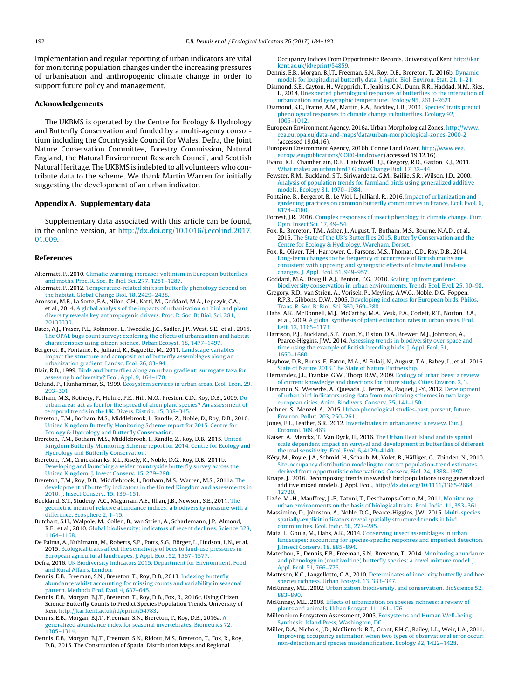<span id="page-9-0"></span>Implementation and regular reporting of urban indicators are vital for monitoring population changes under the increasing pressures of urbanisation and anthropogenic climate change in order to support future policy and management.

#### Acknowledgements

The UKBMS is operated by the Centre for Ecology & Hydrology and Butterfly Conservation and funded by a multi-agency consortium including the Countryside Council for Wales, Defra, the Joint Nature Conservation Committee, Forestry Commission, Natural England, the Natural Environment Research Council, and Scottish Natural Heritage. The UKBMS is indebted to all volunteers who contribute data to the scheme. We thank Martin Warren for initially suggesting the development of an urban indicator.

#### Appendix A. Supplementary data

Supplementary data associated with this article can be found, in the online version, at [http://dx.doi.org/10.1016/j.ecolind.2017.](http://dx.doi.org/10.1016/j.ecolind.2017.01.009) [01.009.](http://dx.doi.org/10.1016/j.ecolind.2017.01.009)

#### References

- Altermatt, F., 2010. [Climatic](http://refhub.elsevier.com/S1470-160X(17)30009-2/sbref0005) [warming](http://refhub.elsevier.com/S1470-160X(17)30009-2/sbref0005) [increases](http://refhub.elsevier.com/S1470-160X(17)30009-2/sbref0005) [voltinism](http://refhub.elsevier.com/S1470-160X(17)30009-2/sbref0005) [in](http://refhub.elsevier.com/S1470-160X(17)30009-2/sbref0005) [European](http://refhub.elsevier.com/S1470-160X(17)30009-2/sbref0005) [butterflies](http://refhub.elsevier.com/S1470-160X(17)30009-2/sbref0005) [and](http://refhub.elsevier.com/S1470-160X(17)30009-2/sbref0005) [moths.](http://refhub.elsevier.com/S1470-160X(17)30009-2/sbref0005) [Proc.](http://refhub.elsevier.com/S1470-160X(17)30009-2/sbref0005) [R.](http://refhub.elsevier.com/S1470-160X(17)30009-2/sbref0005) [Soc.](http://refhub.elsevier.com/S1470-160X(17)30009-2/sbref0005) [B:](http://refhub.elsevier.com/S1470-160X(17)30009-2/sbref0005) [Biol.](http://refhub.elsevier.com/S1470-160X(17)30009-2/sbref0005) [Sci.](http://refhub.elsevier.com/S1470-160X(17)30009-2/sbref0005) [277,](http://refhub.elsevier.com/S1470-160X(17)30009-2/sbref0005) [1281–1287.](http://refhub.elsevier.com/S1470-160X(17)30009-2/sbref0005)
- Altermatt, F., 2012. [Temperature-related](http://refhub.elsevier.com/S1470-160X(17)30009-2/sbref0010) [shifts](http://refhub.elsevier.com/S1470-160X(17)30009-2/sbref0010) [in](http://refhub.elsevier.com/S1470-160X(17)30009-2/sbref0010) [butterfly](http://refhub.elsevier.com/S1470-160X(17)30009-2/sbref0010) [phenology](http://refhub.elsevier.com/S1470-160X(17)30009-2/sbref0010) [depend](http://refhub.elsevier.com/S1470-160X(17)30009-2/sbref0010) [on](http://refhub.elsevier.com/S1470-160X(17)30009-2/sbref0010) [the](http://refhub.elsevier.com/S1470-160X(17)30009-2/sbref0010) [habitat.](http://refhub.elsevier.com/S1470-160X(17)30009-2/sbref0010) [Global](http://refhub.elsevier.com/S1470-160X(17)30009-2/sbref0010) [Change](http://refhub.elsevier.com/S1470-160X(17)30009-2/sbref0010) [Biol.](http://refhub.elsevier.com/S1470-160X(17)30009-2/sbref0010) [18,](http://refhub.elsevier.com/S1470-160X(17)30009-2/sbref0010) [2429–2438.](http://refhub.elsevier.com/S1470-160X(17)30009-2/sbref0010)
- Aronson, M.F., La Sorte, F.A., Nilon, C.H., Katti, M., Goddard, M.A., Lepczyk, C.A., et al., 2014. [A](http://refhub.elsevier.com/S1470-160X(17)30009-2/sbref0015) [global](http://refhub.elsevier.com/S1470-160X(17)30009-2/sbref0015) [analysis](http://refhub.elsevier.com/S1470-160X(17)30009-2/sbref0015) [of](http://refhub.elsevier.com/S1470-160X(17)30009-2/sbref0015) [the](http://refhub.elsevier.com/S1470-160X(17)30009-2/sbref0015) [impacts](http://refhub.elsevier.com/S1470-160X(17)30009-2/sbref0015) [of](http://refhub.elsevier.com/S1470-160X(17)30009-2/sbref0015) [urbanization](http://refhub.elsevier.com/S1470-160X(17)30009-2/sbref0015) [on](http://refhub.elsevier.com/S1470-160X(17)30009-2/sbref0015) [bird](http://refhub.elsevier.com/S1470-160X(17)30009-2/sbref0015) [and](http://refhub.elsevier.com/S1470-160X(17)30009-2/sbref0015) [plant](http://refhub.elsevier.com/S1470-160X(17)30009-2/sbref0015) [diversity](http://refhub.elsevier.com/S1470-160X(17)30009-2/sbref0015) [reveals](http://refhub.elsevier.com/S1470-160X(17)30009-2/sbref0015) [key](http://refhub.elsevier.com/S1470-160X(17)30009-2/sbref0015) [anthropogenic](http://refhub.elsevier.com/S1470-160X(17)30009-2/sbref0015) [drivers.](http://refhub.elsevier.com/S1470-160X(17)30009-2/sbref0015) [Proc.](http://refhub.elsevier.com/S1470-160X(17)30009-2/sbref0015) [R.](http://refhub.elsevier.com/S1470-160X(17)30009-2/sbref0015) [Soc.](http://refhub.elsevier.com/S1470-160X(17)30009-2/sbref0015) [B:](http://refhub.elsevier.com/S1470-160X(17)30009-2/sbref0015) [Biol.](http://refhub.elsevier.com/S1470-160X(17)30009-2/sbref0015) [Sci.](http://refhub.elsevier.com/S1470-160X(17)30009-2/sbref0015) [281,](http://refhub.elsevier.com/S1470-160X(17)30009-2/sbref0015) [20133330.](http://refhub.elsevier.com/S1470-160X(17)30009-2/sbref0015)
- Bates, A.J., Fraser, P.L., Robinson, L., Tweddle, J.C., Sadler, J.P., West, S.E., et al., 2015. [The](http://refhub.elsevier.com/S1470-160X(17)30009-2/sbref0020) [OPAL](http://refhub.elsevier.com/S1470-160X(17)30009-2/sbref0020) [bugs](http://refhub.elsevier.com/S1470-160X(17)30009-2/sbref0020) [count](http://refhub.elsevier.com/S1470-160X(17)30009-2/sbref0020) [survey:](http://refhub.elsevier.com/S1470-160X(17)30009-2/sbref0020) [exploring](http://refhub.elsevier.com/S1470-160X(17)30009-2/sbref0020) [the](http://refhub.elsevier.com/S1470-160X(17)30009-2/sbref0020) [effects](http://refhub.elsevier.com/S1470-160X(17)30009-2/sbref0020) [of](http://refhub.elsevier.com/S1470-160X(17)30009-2/sbref0020) [urbanisation](http://refhub.elsevier.com/S1470-160X(17)30009-2/sbref0020) [and](http://refhub.elsevier.com/S1470-160X(17)30009-2/sbref0020) [habitat](http://refhub.elsevier.com/S1470-160X(17)30009-2/sbref0020) [characteristics](http://refhub.elsevier.com/S1470-160X(17)30009-2/sbref0020) [using](http://refhub.elsevier.com/S1470-160X(17)30009-2/sbref0020) [citizen](http://refhub.elsevier.com/S1470-160X(17)30009-2/sbref0020) [science.](http://refhub.elsevier.com/S1470-160X(17)30009-2/sbref0020) [Urban](http://refhub.elsevier.com/S1470-160X(17)30009-2/sbref0020) [Ecosyst.](http://refhub.elsevier.com/S1470-160X(17)30009-2/sbref0020) [18,](http://refhub.elsevier.com/S1470-160X(17)30009-2/sbref0020) [1477](http://refhub.elsevier.com/S1470-160X(17)30009-2/sbref0020)–[1497.](http://refhub.elsevier.com/S1470-160X(17)30009-2/sbref0020)
- Bergerot, B., Fontaine, B., Julliard, R., Baguette, M., 2011. [Landscape](http://refhub.elsevier.com/S1470-160X(17)30009-2/sbref0025) [variables](http://refhub.elsevier.com/S1470-160X(17)30009-2/sbref0025) [impact](http://refhub.elsevier.com/S1470-160X(17)30009-2/sbref0025) [the](http://refhub.elsevier.com/S1470-160X(17)30009-2/sbref0025) [structure](http://refhub.elsevier.com/S1470-160X(17)30009-2/sbref0025) [and](http://refhub.elsevier.com/S1470-160X(17)30009-2/sbref0025) [composition](http://refhub.elsevier.com/S1470-160X(17)30009-2/sbref0025) [of](http://refhub.elsevier.com/S1470-160X(17)30009-2/sbref0025) [butterfly](http://refhub.elsevier.com/S1470-160X(17)30009-2/sbref0025) [assemblages](http://refhub.elsevier.com/S1470-160X(17)30009-2/sbref0025) [along](http://refhub.elsevier.com/S1470-160X(17)30009-2/sbref0025) [an](http://refhub.elsevier.com/S1470-160X(17)30009-2/sbref0025) [urbanization](http://refhub.elsevier.com/S1470-160X(17)30009-2/sbref0025) [gradient.](http://refhub.elsevier.com/S1470-160X(17)30009-2/sbref0025) [Landsc.](http://refhub.elsevier.com/S1470-160X(17)30009-2/sbref0025) [Ecol.](http://refhub.elsevier.com/S1470-160X(17)30009-2/sbref0025) [26,](http://refhub.elsevier.com/S1470-160X(17)30009-2/sbref0025) [83](http://refhub.elsevier.com/S1470-160X(17)30009-2/sbref0025)–[94.](http://refhub.elsevier.com/S1470-160X(17)30009-2/sbref0025)
- Blair, R.B., 1999. [Birds](http://refhub.elsevier.com/S1470-160X(17)30009-2/sbref0030) [and](http://refhub.elsevier.com/S1470-160X(17)30009-2/sbref0030) [butterflies](http://refhub.elsevier.com/S1470-160X(17)30009-2/sbref0030) [along](http://refhub.elsevier.com/S1470-160X(17)30009-2/sbref0030) [an](http://refhub.elsevier.com/S1470-160X(17)30009-2/sbref0030) [urban](http://refhub.elsevier.com/S1470-160X(17)30009-2/sbref0030) [gradient:](http://refhub.elsevier.com/S1470-160X(17)30009-2/sbref0030) [surrogate](http://refhub.elsevier.com/S1470-160X(17)30009-2/sbref0030) [taxa](http://refhub.elsevier.com/S1470-160X(17)30009-2/sbref0030) [for](http://refhub.elsevier.com/S1470-160X(17)30009-2/sbref0030) [assessing](http://refhub.elsevier.com/S1470-160X(17)30009-2/sbref0030) [biodiversity?](http://refhub.elsevier.com/S1470-160X(17)30009-2/sbref0030) [Ecol.](http://refhub.elsevier.com/S1470-160X(17)30009-2/sbref0030) [Appl.](http://refhub.elsevier.com/S1470-160X(17)30009-2/sbref0030) [9,](http://refhub.elsevier.com/S1470-160X(17)30009-2/sbref0030) [164](http://refhub.elsevier.com/S1470-160X(17)30009-2/sbref0030)–[170.](http://refhub.elsevier.com/S1470-160X(17)30009-2/sbref0030)
- Bolund, P., Hunhammar, S., 1999. [Ecosystem](http://refhub.elsevier.com/S1470-160X(17)30009-2/sbref0035) [services](http://refhub.elsevier.com/S1470-160X(17)30009-2/sbref0035) [in](http://refhub.elsevier.com/S1470-160X(17)30009-2/sbref0035) [urban](http://refhub.elsevier.com/S1470-160X(17)30009-2/sbref0035) [areas.](http://refhub.elsevier.com/S1470-160X(17)30009-2/sbref0035) [Ecol.](http://refhub.elsevier.com/S1470-160X(17)30009-2/sbref0035) [Econ.](http://refhub.elsevier.com/S1470-160X(17)30009-2/sbref0035) [29,](http://refhub.elsevier.com/S1470-160X(17)30009-2/sbref0035) [293–301.](http://refhub.elsevier.com/S1470-160X(17)30009-2/sbref0035)
- Botham, M.S., Rothery, P., Hulme, P.E., Hill, M.O., Preston, C.D., Roy, D.B., 2009. [Do](http://refhub.elsevier.com/S1470-160X(17)30009-2/sbref0040) [urban](http://refhub.elsevier.com/S1470-160X(17)30009-2/sbref0040) [areas](http://refhub.elsevier.com/S1470-160X(17)30009-2/sbref0040) [act](http://refhub.elsevier.com/S1470-160X(17)30009-2/sbref0040) [as](http://refhub.elsevier.com/S1470-160X(17)30009-2/sbref0040) [foci](http://refhub.elsevier.com/S1470-160X(17)30009-2/sbref0040) [for](http://refhub.elsevier.com/S1470-160X(17)30009-2/sbref0040) [the](http://refhub.elsevier.com/S1470-160X(17)30009-2/sbref0040) [spread](http://refhub.elsevier.com/S1470-160X(17)30009-2/sbref0040) [of](http://refhub.elsevier.com/S1470-160X(17)30009-2/sbref0040) [alien](http://refhub.elsevier.com/S1470-160X(17)30009-2/sbref0040) [plant](http://refhub.elsevier.com/S1470-160X(17)30009-2/sbref0040) [species?](http://refhub.elsevier.com/S1470-160X(17)30009-2/sbref0040) [An](http://refhub.elsevier.com/S1470-160X(17)30009-2/sbref0040) [assessment](http://refhub.elsevier.com/S1470-160X(17)30009-2/sbref0040) [of](http://refhub.elsevier.com/S1470-160X(17)30009-2/sbref0040) [temporal](http://refhub.elsevier.com/S1470-160X(17)30009-2/sbref0040) [trends](http://refhub.elsevier.com/S1470-160X(17)30009-2/sbref0040) [in](http://refhub.elsevier.com/S1470-160X(17)30009-2/sbref0040) [the](http://refhub.elsevier.com/S1470-160X(17)30009-2/sbref0040) [UK.](http://refhub.elsevier.com/S1470-160X(17)30009-2/sbref0040) [Divers.](http://refhub.elsevier.com/S1470-160X(17)30009-2/sbref0040) [Distrib.](http://refhub.elsevier.com/S1470-160X(17)30009-2/sbref0040) [15,](http://refhub.elsevier.com/S1470-160X(17)30009-2/sbref0040) [338–345.](http://refhub.elsevier.com/S1470-160X(17)30009-2/sbref0040)
- Brereton, T.M., Botham, M.S., Middlebrook, I., Randle, Z., Noble, D., Roy, D.B., 2016. [United](http://refhub.elsevier.com/S1470-160X(17)30009-2/sbref0045) [Kingdom](http://refhub.elsevier.com/S1470-160X(17)30009-2/sbref0045) [Butterfly](http://refhub.elsevier.com/S1470-160X(17)30009-2/sbref0045) [Monitoring](http://refhub.elsevier.com/S1470-160X(17)30009-2/sbref0045) [Scheme](http://refhub.elsevier.com/S1470-160X(17)30009-2/sbref0045) [report](http://refhub.elsevier.com/S1470-160X(17)30009-2/sbref0045) [for](http://refhub.elsevier.com/S1470-160X(17)30009-2/sbref0045) [2015.](http://refhub.elsevier.com/S1470-160X(17)30009-2/sbref0045) [Centre](http://refhub.elsevier.com/S1470-160X(17)30009-2/sbref0045) [for](http://refhub.elsevier.com/S1470-160X(17)30009-2/sbref0045) [Ecology](http://refhub.elsevier.com/S1470-160X(17)30009-2/sbref0045) [&](http://refhub.elsevier.com/S1470-160X(17)30009-2/sbref0045) [Hydrology](http://refhub.elsevier.com/S1470-160X(17)30009-2/sbref0045) [and](http://refhub.elsevier.com/S1470-160X(17)30009-2/sbref0045) [Butterfly](http://refhub.elsevier.com/S1470-160X(17)30009-2/sbref0045) [Conservation.](http://refhub.elsevier.com/S1470-160X(17)30009-2/sbref0045)
- Brereton, T.M., Botham, M.S., Middlebrook, I., Randle, Z., Roy, D.B., 2015. [United](http://refhub.elsevier.com/S1470-160X(17)30009-2/sbref0050) [Kingdom](http://refhub.elsevier.com/S1470-160X(17)30009-2/sbref0050) [Butterfly](http://refhub.elsevier.com/S1470-160X(17)30009-2/sbref0050) [Monitoring](http://refhub.elsevier.com/S1470-160X(17)30009-2/sbref0050) [Scheme](http://refhub.elsevier.com/S1470-160X(17)30009-2/sbref0050) [report](http://refhub.elsevier.com/S1470-160X(17)30009-2/sbref0050) [for](http://refhub.elsevier.com/S1470-160X(17)30009-2/sbref0050) [2014.](http://refhub.elsevier.com/S1470-160X(17)30009-2/sbref0050) [Centre](http://refhub.elsevier.com/S1470-160X(17)30009-2/sbref0050) [for](http://refhub.elsevier.com/S1470-160X(17)30009-2/sbref0050) [Ecology](http://refhub.elsevier.com/S1470-160X(17)30009-2/sbref0050) [and](http://refhub.elsevier.com/S1470-160X(17)30009-2/sbref0050) [Hydrology](http://refhub.elsevier.com/S1470-160X(17)30009-2/sbref0050) [and](http://refhub.elsevier.com/S1470-160X(17)30009-2/sbref0050) [Butterfly](http://refhub.elsevier.com/S1470-160X(17)30009-2/sbref0050) [Conservation.](http://refhub.elsevier.com/S1470-160X(17)30009-2/sbref0050)
- Brereton, T.M., Cruickshanks, K.L., Risely, K., Noble, D.G., Roy, D.B., 2011b. [Developing](http://refhub.elsevier.com/S1470-160X(17)30009-2/sbref0055) [and](http://refhub.elsevier.com/S1470-160X(17)30009-2/sbref0055) [launching](http://refhub.elsevier.com/S1470-160X(17)30009-2/sbref0055) [a](http://refhub.elsevier.com/S1470-160X(17)30009-2/sbref0055) [wider](http://refhub.elsevier.com/S1470-160X(17)30009-2/sbref0055) [countryside](http://refhub.elsevier.com/S1470-160X(17)30009-2/sbref0055) [butterfly](http://refhub.elsevier.com/S1470-160X(17)30009-2/sbref0055) [survey](http://refhub.elsevier.com/S1470-160X(17)30009-2/sbref0055) [across](http://refhub.elsevier.com/S1470-160X(17)30009-2/sbref0055) [the](http://refhub.elsevier.com/S1470-160X(17)30009-2/sbref0055)
- [United](http://refhub.elsevier.com/S1470-160X(17)30009-2/sbref0055) [Kingdom.](http://refhub.elsevier.com/S1470-160X(17)30009-2/sbref0055) [J.](http://refhub.elsevier.com/S1470-160X(17)30009-2/sbref0055) [Insect](http://refhub.elsevier.com/S1470-160X(17)30009-2/sbref0055) [Conserv.](http://refhub.elsevier.com/S1470-160X(17)30009-2/sbref0055) [15,](http://refhub.elsevier.com/S1470-160X(17)30009-2/sbref0055) [279–290.](http://refhub.elsevier.com/S1470-160X(17)30009-2/sbref0055) Brereton, T.M., Roy, D.B., Middlebrook, I., Botham, M.S., Warren, M.S., 2011a. [The](http://refhub.elsevier.com/S1470-160X(17)30009-2/sbref0060) [development](http://refhub.elsevier.com/S1470-160X(17)30009-2/sbref0060) [of](http://refhub.elsevier.com/S1470-160X(17)30009-2/sbref0060) [butterfly](http://refhub.elsevier.com/S1470-160X(17)30009-2/sbref0060) [indicators](http://refhub.elsevier.com/S1470-160X(17)30009-2/sbref0060) [in](http://refhub.elsevier.com/S1470-160X(17)30009-2/sbref0060) [the](http://refhub.elsevier.com/S1470-160X(17)30009-2/sbref0060) [United](http://refhub.elsevier.com/S1470-160X(17)30009-2/sbref0060) [Kingdom](http://refhub.elsevier.com/S1470-160X(17)30009-2/sbref0060) [and](http://refhub.elsevier.com/S1470-160X(17)30009-2/sbref0060) [assessments](http://refhub.elsevier.com/S1470-160X(17)30009-2/sbref0060) [in](http://refhub.elsevier.com/S1470-160X(17)30009-2/sbref0060) [2010.](http://refhub.elsevier.com/S1470-160X(17)30009-2/sbref0060) [J.](http://refhub.elsevier.com/S1470-160X(17)30009-2/sbref0060) [Insect](http://refhub.elsevier.com/S1470-160X(17)30009-2/sbref0060) [Conserv.](http://refhub.elsevier.com/S1470-160X(17)30009-2/sbref0060) [15,](http://refhub.elsevier.com/S1470-160X(17)30009-2/sbref0060) [139–151.](http://refhub.elsevier.com/S1470-160X(17)30009-2/sbref0060)
- Buckland, S.T., Studeny, A.C., Magurran, A.E., Illian, J.B., Newson, S.E., 2011. [The](http://refhub.elsevier.com/S1470-160X(17)30009-2/sbref0065) [geometric](http://refhub.elsevier.com/S1470-160X(17)30009-2/sbref0065) [mean](http://refhub.elsevier.com/S1470-160X(17)30009-2/sbref0065) [of](http://refhub.elsevier.com/S1470-160X(17)30009-2/sbref0065) [relative](http://refhub.elsevier.com/S1470-160X(17)30009-2/sbref0065) [abundance](http://refhub.elsevier.com/S1470-160X(17)30009-2/sbref0065) [indices:](http://refhub.elsevier.com/S1470-160X(17)30009-2/sbref0065) [a](http://refhub.elsevier.com/S1470-160X(17)30009-2/sbref0065) [biodiversity](http://refhub.elsevier.com/S1470-160X(17)30009-2/sbref0065) [measure](http://refhub.elsevier.com/S1470-160X(17)30009-2/sbref0065) [with](http://refhub.elsevier.com/S1470-160X(17)30009-2/sbref0065) [a](http://refhub.elsevier.com/S1470-160X(17)30009-2/sbref0065) [difference.](http://refhub.elsevier.com/S1470-160X(17)30009-2/sbref0065) [Ecosphere](http://refhub.elsevier.com/S1470-160X(17)30009-2/sbref0065) [2,](http://refhub.elsevier.com/S1470-160X(17)30009-2/sbref0065) [1–15.](http://refhub.elsevier.com/S1470-160X(17)30009-2/sbref0065)
- Butchart, S.H., Walpole, M., Collen, B., van Strien, A., Scharlemann, J.P., Almond, R.E., et al., 2010. [Global](http://refhub.elsevier.com/S1470-160X(17)30009-2/sbref0070) [biodiversity:](http://refhub.elsevier.com/S1470-160X(17)30009-2/sbref0070) [indicators](http://refhub.elsevier.com/S1470-160X(17)30009-2/sbref0070) [of](http://refhub.elsevier.com/S1470-160X(17)30009-2/sbref0070) [recent](http://refhub.elsevier.com/S1470-160X(17)30009-2/sbref0070) [declines.](http://refhub.elsevier.com/S1470-160X(17)30009-2/sbref0070) [Science](http://refhub.elsevier.com/S1470-160X(17)30009-2/sbref0070) [328,](http://refhub.elsevier.com/S1470-160X(17)30009-2/sbref0070) [1164–1168.](http://refhub.elsevier.com/S1470-160X(17)30009-2/sbref0070)
- De Palma, A., Kuhlmann, M., Roberts, S.P., Potts, S.G., Börger, L., Hudson, L.N., et al., 2015. [Ecological](http://refhub.elsevier.com/S1470-160X(17)30009-2/sbref0075) [traits](http://refhub.elsevier.com/S1470-160X(17)30009-2/sbref0075) [affect](http://refhub.elsevier.com/S1470-160X(17)30009-2/sbref0075) [the](http://refhub.elsevier.com/S1470-160X(17)30009-2/sbref0075) [sensitivity](http://refhub.elsevier.com/S1470-160X(17)30009-2/sbref0075) [of](http://refhub.elsevier.com/S1470-160X(17)30009-2/sbref0075) [bees](http://refhub.elsevier.com/S1470-160X(17)30009-2/sbref0075) [to](http://refhub.elsevier.com/S1470-160X(17)30009-2/sbref0075) [land-use](http://refhub.elsevier.com/S1470-160X(17)30009-2/sbref0075) [pressures](http://refhub.elsevier.com/S1470-160X(17)30009-2/sbref0075) [in](http://refhub.elsevier.com/S1470-160X(17)30009-2/sbref0075) [European](http://refhub.elsevier.com/S1470-160X(17)30009-2/sbref0075) [agricultural](http://refhub.elsevier.com/S1470-160X(17)30009-2/sbref0075) [landscapes.](http://refhub.elsevier.com/S1470-160X(17)30009-2/sbref0075) [J.](http://refhub.elsevier.com/S1470-160X(17)30009-2/sbref0075) [Appl.](http://refhub.elsevier.com/S1470-160X(17)30009-2/sbref0075) [Ecol.](http://refhub.elsevier.com/S1470-160X(17)30009-2/sbref0075) [52,](http://refhub.elsevier.com/S1470-160X(17)30009-2/sbref0075) [1567–1577.](http://refhub.elsevier.com/S1470-160X(17)30009-2/sbref0075)
- Defra, 2016. [UK](http://refhub.elsevier.com/S1470-160X(17)30009-2/sbref0080) [Biodiversity](http://refhub.elsevier.com/S1470-160X(17)30009-2/sbref0080) [Indicators](http://refhub.elsevier.com/S1470-160X(17)30009-2/sbref0080) [2015.](http://refhub.elsevier.com/S1470-160X(17)30009-2/sbref0080) [Department](http://refhub.elsevier.com/S1470-160X(17)30009-2/sbref0080) [for](http://refhub.elsevier.com/S1470-160X(17)30009-2/sbref0080) [Environment,](http://refhub.elsevier.com/S1470-160X(17)30009-2/sbref0080) [Food](http://refhub.elsevier.com/S1470-160X(17)30009-2/sbref0080) [and](http://refhub.elsevier.com/S1470-160X(17)30009-2/sbref0080) [Rural](http://refhub.elsevier.com/S1470-160X(17)30009-2/sbref0080) [Affairs,](http://refhub.elsevier.com/S1470-160X(17)30009-2/sbref0080) [London.](http://refhub.elsevier.com/S1470-160X(17)30009-2/sbref0080)
- Dennis, E.B., Freeman, S.N., Brereton, T., Roy, D.B., 2013. [Indexing](http://refhub.elsevier.com/S1470-160X(17)30009-2/sbref0085) [butterfly](http://refhub.elsevier.com/S1470-160X(17)30009-2/sbref0085) [abundance](http://refhub.elsevier.com/S1470-160X(17)30009-2/sbref0085) [whilst](http://refhub.elsevier.com/S1470-160X(17)30009-2/sbref0085) [accounting](http://refhub.elsevier.com/S1470-160X(17)30009-2/sbref0085) [for](http://refhub.elsevier.com/S1470-160X(17)30009-2/sbref0085) [missing](http://refhub.elsevier.com/S1470-160X(17)30009-2/sbref0085) [counts](http://refhub.elsevier.com/S1470-160X(17)30009-2/sbref0085) [and](http://refhub.elsevier.com/S1470-160X(17)30009-2/sbref0085) [variability](http://refhub.elsevier.com/S1470-160X(17)30009-2/sbref0085) [in](http://refhub.elsevier.com/S1470-160X(17)30009-2/sbref0085) [seasonal](http://refhub.elsevier.com/S1470-160X(17)30009-2/sbref0085) [pattern.](http://refhub.elsevier.com/S1470-160X(17)30009-2/sbref0085) [Methods](http://refhub.elsevier.com/S1470-160X(17)30009-2/sbref0085) [Ecol.](http://refhub.elsevier.com/S1470-160X(17)30009-2/sbref0085) [Evol.](http://refhub.elsevier.com/S1470-160X(17)30009-2/sbref0085) [4,](http://refhub.elsevier.com/S1470-160X(17)30009-2/sbref0085) [637](http://refhub.elsevier.com/S1470-160X(17)30009-2/sbref0085)–[645.](http://refhub.elsevier.com/S1470-160X(17)30009-2/sbref0085)
- Dennis, E.B., Morgan, B.J.T., Brereton, T., Roy, D.B., Fox, R., 2016c. Using Citizen Science Butterfly Counts to Predict Species Population Trends. University of Kent [http://kar.kent.ac.uk/id/eprint/54783.](http://kar.kent.ac.uk/id/eprint/54783)
- Dennis, E.B., Morgan, B.J.T., Freeman, S.N., Brereton, T., Roy, D.B., 2016a. [A](http://refhub.elsevier.com/S1470-160X(17)30009-2/sbref0095) [generalized](http://refhub.elsevier.com/S1470-160X(17)30009-2/sbref0095) [abundance](http://refhub.elsevier.com/S1470-160X(17)30009-2/sbref0095) [index](http://refhub.elsevier.com/S1470-160X(17)30009-2/sbref0095) [for](http://refhub.elsevier.com/S1470-160X(17)30009-2/sbref0095) [seasonal](http://refhub.elsevier.com/S1470-160X(17)30009-2/sbref0095) [invertebrates.](http://refhub.elsevier.com/S1470-160X(17)30009-2/sbref0095) [Biometrics](http://refhub.elsevier.com/S1470-160X(17)30009-2/sbref0095) [72,](http://refhub.elsevier.com/S1470-160X(17)30009-2/sbref0095) [1305](http://refhub.elsevier.com/S1470-160X(17)30009-2/sbref0095)–[1314.](http://refhub.elsevier.com/S1470-160X(17)30009-2/sbref0095)
- Dennis, E.B., Morgan, B.J.T., Freeman, S.N., Ridout, M.S., Brereton, T., Fox, R., Roy, D.B., 2015. The Construction of Spatial Distribution Maps and Regional

Occupancy Indices From Opportunistic Records. University of Kent [http://kar.](http://kar.kent.ac.uk/id/eprint/54859) [kent.ac.uk/id/eprint/54859](http://kar.kent.ac.uk/id/eprint/54859).

- Dennis, E.B., Morgan, B.J.T., Freeman, S.N., Roy, D.B., Brereton, T., 2016b. [Dynamic](http://refhub.elsevier.com/S1470-160X(17)30009-2/sbref0105) [models](http://refhub.elsevier.com/S1470-160X(17)30009-2/sbref0105) [for](http://refhub.elsevier.com/S1470-160X(17)30009-2/sbref0105) [longitudinal](http://refhub.elsevier.com/S1470-160X(17)30009-2/sbref0105) [butterfly](http://refhub.elsevier.com/S1470-160X(17)30009-2/sbref0105) [data.](http://refhub.elsevier.com/S1470-160X(17)30009-2/sbref0105) [J.](http://refhub.elsevier.com/S1470-160X(17)30009-2/sbref0105) [Agric.](http://refhub.elsevier.com/S1470-160X(17)30009-2/sbref0105) [Biol.](http://refhub.elsevier.com/S1470-160X(17)30009-2/sbref0105) [Environ.](http://refhub.elsevier.com/S1470-160X(17)30009-2/sbref0105) [Stat.](http://refhub.elsevier.com/S1470-160X(17)30009-2/sbref0105) [21,](http://refhub.elsevier.com/S1470-160X(17)30009-2/sbref0105) [1](http://refhub.elsevier.com/S1470-160X(17)30009-2/sbref0105)–[21.](http://refhub.elsevier.com/S1470-160X(17)30009-2/sbref0105)
- Diamond, S.E., Cayton, H., Wepprich, T., Jenkins, C.N., Dunn, R.R., Haddad, N.M., Ries, L., 2014. [Unexpected](http://refhub.elsevier.com/S1470-160X(17)30009-2/sbref0110) [phenological](http://refhub.elsevier.com/S1470-160X(17)30009-2/sbref0110) [responses](http://refhub.elsevier.com/S1470-160X(17)30009-2/sbref0110) [of](http://refhub.elsevier.com/S1470-160X(17)30009-2/sbref0110) [butterflies](http://refhub.elsevier.com/S1470-160X(17)30009-2/sbref0110) [to](http://refhub.elsevier.com/S1470-160X(17)30009-2/sbref0110) [the](http://refhub.elsevier.com/S1470-160X(17)30009-2/sbref0110) [interaction](http://refhub.elsevier.com/S1470-160X(17)30009-2/sbref0110) [of](http://refhub.elsevier.com/S1470-160X(17)30009-2/sbref0110) [urbanization](http://refhub.elsevier.com/S1470-160X(17)30009-2/sbref0110) [and](http://refhub.elsevier.com/S1470-160X(17)30009-2/sbref0110) [geographic](http://refhub.elsevier.com/S1470-160X(17)30009-2/sbref0110) [temperature.](http://refhub.elsevier.com/S1470-160X(17)30009-2/sbref0110) [Ecology](http://refhub.elsevier.com/S1470-160X(17)30009-2/sbref0110) [95,](http://refhub.elsevier.com/S1470-160X(17)30009-2/sbref0110) [2613](http://refhub.elsevier.com/S1470-160X(17)30009-2/sbref0110)–[2621.](http://refhub.elsevier.com/S1470-160X(17)30009-2/sbref0110)
- Diamond, S.E., Frame, A.M., Martin, R.A., Buckley, L.B., 2011. [Species'](http://refhub.elsevier.com/S1470-160X(17)30009-2/sbref0115) [traits](http://refhub.elsevier.com/S1470-160X(17)30009-2/sbref0115) [predict](http://refhub.elsevier.com/S1470-160X(17)30009-2/sbref0115) [phenological](http://refhub.elsevier.com/S1470-160X(17)30009-2/sbref0115) [responses](http://refhub.elsevier.com/S1470-160X(17)30009-2/sbref0115) [to](http://refhub.elsevier.com/S1470-160X(17)30009-2/sbref0115) [climate](http://refhub.elsevier.com/S1470-160X(17)30009-2/sbref0115) [change](http://refhub.elsevier.com/S1470-160X(17)30009-2/sbref0115) [in](http://refhub.elsevier.com/S1470-160X(17)30009-2/sbref0115) [butterflies.](http://refhub.elsevier.com/S1470-160X(17)30009-2/sbref0115) [Ecology](http://refhub.elsevier.com/S1470-160X(17)30009-2/sbref0115) [92,](http://refhub.elsevier.com/S1470-160X(17)30009-2/sbref0115)  $1005 - 1012$  $1005 - 1012$
- European Environment Agency, 2016a. Urban Morphological Zones. [http://www.](http://www.eea.europa.eu/data-and-maps/data/urban-morphological-zones-2000-2) [eea.europa.eu/data-and-maps/data/urban-morphological-zones-2000-2](http://www.eea.europa.eu/data-and-maps/data/urban-morphological-zones-2000-2) (accessed 19.04.16).
- European Environment Agency, 2016b. Corine Land Cover. [http://www.eea.](http://www.eea.europa.eu/publications/COR0-landcover) [europa.eu/publications/COR0-landcover](http://www.eea.europa.eu/publications/COR0-landcover) (accessed 19.12.16).
- Evans, K.L., Chamberlain, D.E., Hatchwell, B.J., Gregory, R.D., Gaston, K.J., 2011. [What](http://refhub.elsevier.com/S1470-160X(17)30009-2/sbref0130) [makes](http://refhub.elsevier.com/S1470-160X(17)30009-2/sbref0130) [an](http://refhub.elsevier.com/S1470-160X(17)30009-2/sbref0130) [urban](http://refhub.elsevier.com/S1470-160X(17)30009-2/sbref0130) [bird?](http://refhub.elsevier.com/S1470-160X(17)30009-2/sbref0130) [Global](http://refhub.elsevier.com/S1470-160X(17)30009-2/sbref0130) [Change](http://refhub.elsevier.com/S1470-160X(17)30009-2/sbref0130) [Biol.](http://refhub.elsevier.com/S1470-160X(17)30009-2/sbref0130) [17,](http://refhub.elsevier.com/S1470-160X(17)30009-2/sbref0130) [32–44.](http://refhub.elsevier.com/S1470-160X(17)30009-2/sbref0130)
- Fewster, R.M., Buckland, S.T., Siriwardena, G.M., Baillie, S.R., Wilson, J.D., 2000. [Analysis](http://refhub.elsevier.com/S1470-160X(17)30009-2/sbref0135) [of](http://refhub.elsevier.com/S1470-160X(17)30009-2/sbref0135) [population](http://refhub.elsevier.com/S1470-160X(17)30009-2/sbref0135) [trends](http://refhub.elsevier.com/S1470-160X(17)30009-2/sbref0135) [for](http://refhub.elsevier.com/S1470-160X(17)30009-2/sbref0135) [farmland](http://refhub.elsevier.com/S1470-160X(17)30009-2/sbref0135) [birds](http://refhub.elsevier.com/S1470-160X(17)30009-2/sbref0135) [using](http://refhub.elsevier.com/S1470-160X(17)30009-2/sbref0135) [generalized](http://refhub.elsevier.com/S1470-160X(17)30009-2/sbref0135) [additive](http://refhub.elsevier.com/S1470-160X(17)30009-2/sbref0135) [models.](http://refhub.elsevier.com/S1470-160X(17)30009-2/sbref0135) [Ecology](http://refhub.elsevier.com/S1470-160X(17)30009-2/sbref0135) [81,](http://refhub.elsevier.com/S1470-160X(17)30009-2/sbref0135) [1970–1984.](http://refhub.elsevier.com/S1470-160X(17)30009-2/sbref0135)
- Fontaine, B., Bergerot, B., Le Viol, I., Julliard, R., 2016. [Impact](http://refhub.elsevier.com/S1470-160X(17)30009-2/sbref0140) [of](http://refhub.elsevier.com/S1470-160X(17)30009-2/sbref0140) [urbanization](http://refhub.elsevier.com/S1470-160X(17)30009-2/sbref0140) [and](http://refhub.elsevier.com/S1470-160X(17)30009-2/sbref0140) [gardening](http://refhub.elsevier.com/S1470-160X(17)30009-2/sbref0140) [practices](http://refhub.elsevier.com/S1470-160X(17)30009-2/sbref0140) [on](http://refhub.elsevier.com/S1470-160X(17)30009-2/sbref0140) [common](http://refhub.elsevier.com/S1470-160X(17)30009-2/sbref0140) [butterfly](http://refhub.elsevier.com/S1470-160X(17)30009-2/sbref0140) [communities](http://refhub.elsevier.com/S1470-160X(17)30009-2/sbref0140) [in](http://refhub.elsevier.com/S1470-160X(17)30009-2/sbref0140) [France.](http://refhub.elsevier.com/S1470-160X(17)30009-2/sbref0140) [Ecol.](http://refhub.elsevier.com/S1470-160X(17)30009-2/sbref0140) [Evol.](http://refhub.elsevier.com/S1470-160X(17)30009-2/sbref0140) [6,](http://refhub.elsevier.com/S1470-160X(17)30009-2/sbref0140) [8174–8180.](http://refhub.elsevier.com/S1470-160X(17)30009-2/sbref0140)
- Forrest, J.R., 2016. [Complex](http://refhub.elsevier.com/S1470-160X(17)30009-2/sbref0145) [responses](http://refhub.elsevier.com/S1470-160X(17)30009-2/sbref0145) [of](http://refhub.elsevier.com/S1470-160X(17)30009-2/sbref0145) [insect](http://refhub.elsevier.com/S1470-160X(17)30009-2/sbref0145) [phenology](http://refhub.elsevier.com/S1470-160X(17)30009-2/sbref0145) [to](http://refhub.elsevier.com/S1470-160X(17)30009-2/sbref0145) [climate](http://refhub.elsevier.com/S1470-160X(17)30009-2/sbref0145) [change.](http://refhub.elsevier.com/S1470-160X(17)30009-2/sbref0145) [Curr.](http://refhub.elsevier.com/S1470-160X(17)30009-2/sbref0145) [Opin.](http://refhub.elsevier.com/S1470-160X(17)30009-2/sbref0145) [Insect](http://refhub.elsevier.com/S1470-160X(17)30009-2/sbref0145) [Sci.](http://refhub.elsevier.com/S1470-160X(17)30009-2/sbref0145) [17,](http://refhub.elsevier.com/S1470-160X(17)30009-2/sbref0145) [49](http://refhub.elsevier.com/S1470-160X(17)30009-2/sbref0145)–[54.](http://refhub.elsevier.com/S1470-160X(17)30009-2/sbref0145)
- Fox, R., Brereton, T.M., Asher, J., August, T., Botham, M.S., Bourne, N.A.D., et al., 2015. [The](http://refhub.elsevier.com/S1470-160X(17)30009-2/sbref0150) [State](http://refhub.elsevier.com/S1470-160X(17)30009-2/sbref0150) [of](http://refhub.elsevier.com/S1470-160X(17)30009-2/sbref0150) [the](http://refhub.elsevier.com/S1470-160X(17)30009-2/sbref0150) [UK's](http://refhub.elsevier.com/S1470-160X(17)30009-2/sbref0150) [Butterflies](http://refhub.elsevier.com/S1470-160X(17)30009-2/sbref0150) [2015.](http://refhub.elsevier.com/S1470-160X(17)30009-2/sbref0150) [Butterfly](http://refhub.elsevier.com/S1470-160X(17)30009-2/sbref0150) [Conservation](http://refhub.elsevier.com/S1470-160X(17)30009-2/sbref0150) [and](http://refhub.elsevier.com/S1470-160X(17)30009-2/sbref0150) [the](http://refhub.elsevier.com/S1470-160X(17)30009-2/sbref0150) [Centre](http://refhub.elsevier.com/S1470-160X(17)30009-2/sbref0150) [for](http://refhub.elsevier.com/S1470-160X(17)30009-2/sbref0150) [Ecology](http://refhub.elsevier.com/S1470-160X(17)30009-2/sbref0150) [&](http://refhub.elsevier.com/S1470-160X(17)30009-2/sbref0150) [Hydrology,](http://refhub.elsevier.com/S1470-160X(17)30009-2/sbref0150) [Wareham,](http://refhub.elsevier.com/S1470-160X(17)30009-2/sbref0150) [Dorset.](http://refhub.elsevier.com/S1470-160X(17)30009-2/sbref0150)
- Fox, R., Oliver, T.H., Harrower, C., Parsons, M.S., Thomas, C.D., Roy, D.B., 2014. [Long-term](http://refhub.elsevier.com/S1470-160X(17)30009-2/sbref0155) [changes](http://refhub.elsevier.com/S1470-160X(17)30009-2/sbref0155) [to](http://refhub.elsevier.com/S1470-160X(17)30009-2/sbref0155) [the](http://refhub.elsevier.com/S1470-160X(17)30009-2/sbref0155) [frequency](http://refhub.elsevier.com/S1470-160X(17)30009-2/sbref0155) [of](http://refhub.elsevier.com/S1470-160X(17)30009-2/sbref0155) [occurrence](http://refhub.elsevier.com/S1470-160X(17)30009-2/sbref0155) [of](http://refhub.elsevier.com/S1470-160X(17)30009-2/sbref0155) [British](http://refhub.elsevier.com/S1470-160X(17)30009-2/sbref0155) [moths](http://refhub.elsevier.com/S1470-160X(17)30009-2/sbref0155) [are](http://refhub.elsevier.com/S1470-160X(17)30009-2/sbref0155) [consistent](http://refhub.elsevier.com/S1470-160X(17)30009-2/sbref0155) [with](http://refhub.elsevier.com/S1470-160X(17)30009-2/sbref0155) [opposing](http://refhub.elsevier.com/S1470-160X(17)30009-2/sbref0155) [and](http://refhub.elsevier.com/S1470-160X(17)30009-2/sbref0155) [synergistic](http://refhub.elsevier.com/S1470-160X(17)30009-2/sbref0155) [effects](http://refhub.elsevier.com/S1470-160X(17)30009-2/sbref0155) [of](http://refhub.elsevier.com/S1470-160X(17)30009-2/sbref0155) [climate](http://refhub.elsevier.com/S1470-160X(17)30009-2/sbref0155) [and](http://refhub.elsevier.com/S1470-160X(17)30009-2/sbref0155) [land-use](http://refhub.elsevier.com/S1470-160X(17)30009-2/sbref0155) [changes.](http://refhub.elsevier.com/S1470-160X(17)30009-2/sbref0155) [J.](http://refhub.elsevier.com/S1470-160X(17)30009-2/sbref0155) [Appl.](http://refhub.elsevier.com/S1470-160X(17)30009-2/sbref0155) [Ecol.](http://refhub.elsevier.com/S1470-160X(17)30009-2/sbref0155) [51,](http://refhub.elsevier.com/S1470-160X(17)30009-2/sbref0155) [949–957.](http://refhub.elsevier.com/S1470-160X(17)30009-2/sbref0155)
- Goddard, M.A., Dougill, A.J., Benton, T.G., 2010. [Scaling](http://refhub.elsevier.com/S1470-160X(17)30009-2/sbref0160) [up](http://refhub.elsevier.com/S1470-160X(17)30009-2/sbref0160) [from](http://refhub.elsevier.com/S1470-160X(17)30009-2/sbref0160) [gardens:](http://refhub.elsevier.com/S1470-160X(17)30009-2/sbref0160) [biodiversity](http://refhub.elsevier.com/S1470-160X(17)30009-2/sbref0160) [conservation](http://refhub.elsevier.com/S1470-160X(17)30009-2/sbref0160) [in](http://refhub.elsevier.com/S1470-160X(17)30009-2/sbref0160) [urban](http://refhub.elsevier.com/S1470-160X(17)30009-2/sbref0160) [environments.](http://refhub.elsevier.com/S1470-160X(17)30009-2/sbref0160) [Trends](http://refhub.elsevier.com/S1470-160X(17)30009-2/sbref0160) [Ecol.](http://refhub.elsevier.com/S1470-160X(17)30009-2/sbref0160) [Evol.](http://refhub.elsevier.com/S1470-160X(17)30009-2/sbref0160) [25,](http://refhub.elsevier.com/S1470-160X(17)30009-2/sbref0160) [90–98.](http://refhub.elsevier.com/S1470-160X(17)30009-2/sbref0160)
- Gregory, R.D., van Strien, A., Vorisek, P., Meyling, A.W.G., Noble, D.G., Foppen, R.P.B., Gibbons, D.W., 2005. [Developing](http://refhub.elsevier.com/S1470-160X(17)30009-2/sbref0165) [indicators](http://refhub.elsevier.com/S1470-160X(17)30009-2/sbref0165) [for](http://refhub.elsevier.com/S1470-160X(17)30009-2/sbref0165) [European](http://refhub.elsevier.com/S1470-160X(17)30009-2/sbref0165) [birds.](http://refhub.elsevier.com/S1470-160X(17)30009-2/sbref0165) [Philos.](http://refhub.elsevier.com/S1470-160X(17)30009-2/sbref0165) [Trans.](http://refhub.elsevier.com/S1470-160X(17)30009-2/sbref0165) [R.](http://refhub.elsevier.com/S1470-160X(17)30009-2/sbref0165) [Soc.](http://refhub.elsevier.com/S1470-160X(17)30009-2/sbref0165) [B:](http://refhub.elsevier.com/S1470-160X(17)30009-2/sbref0165) [Biol.](http://refhub.elsevier.com/S1470-160X(17)30009-2/sbref0165) [Sci.](http://refhub.elsevier.com/S1470-160X(17)30009-2/sbref0165) [360,](http://refhub.elsevier.com/S1470-160X(17)30009-2/sbref0165) [269](http://refhub.elsevier.com/S1470-160X(17)30009-2/sbref0165)–[288.](http://refhub.elsevier.com/S1470-160X(17)30009-2/sbref0165)
- Hahs, A.K., McDonnell, M.J., McCarthy, M.A., Vesk, P.A., Corlett, R.T., Norton, B.A., et al., 2009. [A](http://refhub.elsevier.com/S1470-160X(17)30009-2/sbref0170) [global](http://refhub.elsevier.com/S1470-160X(17)30009-2/sbref0170) [synthesis](http://refhub.elsevier.com/S1470-160X(17)30009-2/sbref0170) [of](http://refhub.elsevier.com/S1470-160X(17)30009-2/sbref0170) [plant](http://refhub.elsevier.com/S1470-160X(17)30009-2/sbref0170) [extinction](http://refhub.elsevier.com/S1470-160X(17)30009-2/sbref0170) [rates](http://refhub.elsevier.com/S1470-160X(17)30009-2/sbref0170) [in](http://refhub.elsevier.com/S1470-160X(17)30009-2/sbref0170) [urban](http://refhub.elsevier.com/S1470-160X(17)30009-2/sbref0170) [areas.](http://refhub.elsevier.com/S1470-160X(17)30009-2/sbref0170) [Ecol.](http://refhub.elsevier.com/S1470-160X(17)30009-2/sbref0170) [Lett.](http://refhub.elsevier.com/S1470-160X(17)30009-2/sbref0170) [12,](http://refhub.elsevier.com/S1470-160X(17)30009-2/sbref0170) [1165](http://refhub.elsevier.com/S1470-160X(17)30009-2/sbref0170)–[1173.](http://refhub.elsevier.com/S1470-160X(17)30009-2/sbref0170)
- Harrison, P.J., Buckland, S.T., Yuan, Y., Elston, D.A., Brewer, M.J., Johnston, A., Pearce-Higgins, J.W., 2014. [Assessing](http://refhub.elsevier.com/S1470-160X(17)30009-2/sbref0175) [trends](http://refhub.elsevier.com/S1470-160X(17)30009-2/sbref0175) [in](http://refhub.elsevier.com/S1470-160X(17)30009-2/sbref0175) [biodiversity](http://refhub.elsevier.com/S1470-160X(17)30009-2/sbref0175) [over](http://refhub.elsevier.com/S1470-160X(17)30009-2/sbref0175) [space](http://refhub.elsevier.com/S1470-160X(17)30009-2/sbref0175) [and](http://refhub.elsevier.com/S1470-160X(17)30009-2/sbref0175) [time](http://refhub.elsevier.com/S1470-160X(17)30009-2/sbref0175) [using](http://refhub.elsevier.com/S1470-160X(17)30009-2/sbref0175) [the](http://refhub.elsevier.com/S1470-160X(17)30009-2/sbref0175) [example](http://refhub.elsevier.com/S1470-160X(17)30009-2/sbref0175) [of](http://refhub.elsevier.com/S1470-160X(17)30009-2/sbref0175) [British](http://refhub.elsevier.com/S1470-160X(17)30009-2/sbref0175) [breeding](http://refhub.elsevier.com/S1470-160X(17)30009-2/sbref0175) [birds.](http://refhub.elsevier.com/S1470-160X(17)30009-2/sbref0175) [J.](http://refhub.elsevier.com/S1470-160X(17)30009-2/sbref0175) [Appl.](http://refhub.elsevier.com/S1470-160X(17)30009-2/sbref0175) [Ecol.](http://refhub.elsevier.com/S1470-160X(17)30009-2/sbref0175) [51,](http://refhub.elsevier.com/S1470-160X(17)30009-2/sbref0175) [1650–1660.](http://refhub.elsevier.com/S1470-160X(17)30009-2/sbref0175)
- Hayhow, D.B., Burns, F., Eaton, M.A., Al Fulaij, N., August, T.A., Babey, L., et al., 2016. [State](http://refhub.elsevier.com/S1470-160X(17)30009-2/sbref0180) [of](http://refhub.elsevier.com/S1470-160X(17)30009-2/sbref0180) [Nature](http://refhub.elsevier.com/S1470-160X(17)30009-2/sbref0180) [2016.](http://refhub.elsevier.com/S1470-160X(17)30009-2/sbref0180) [The](http://refhub.elsevier.com/S1470-160X(17)30009-2/sbref0180) [State](http://refhub.elsevier.com/S1470-160X(17)30009-2/sbref0180) [of](http://refhub.elsevier.com/S1470-160X(17)30009-2/sbref0180) [Nature](http://refhub.elsevier.com/S1470-160X(17)30009-2/sbref0180) [Partnership.](http://refhub.elsevier.com/S1470-160X(17)30009-2/sbref0180)
- Hernandez, J.L., Frankie, G.W., Thorp, R.W., 2009. [Ecology](http://refhub.elsevier.com/S1470-160X(17)30009-2/sbref0185) [of](http://refhub.elsevier.com/S1470-160X(17)30009-2/sbref0185) [urban](http://refhub.elsevier.com/S1470-160X(17)30009-2/sbref0185) [bees:](http://refhub.elsevier.com/S1470-160X(17)30009-2/sbref0185) [a](http://refhub.elsevier.com/S1470-160X(17)30009-2/sbref0185) [review](http://refhub.elsevier.com/S1470-160X(17)30009-2/sbref0185) [of](http://refhub.elsevier.com/S1470-160X(17)30009-2/sbref0185) [current](http://refhub.elsevier.com/S1470-160X(17)30009-2/sbref0185) [knowledge](http://refhub.elsevier.com/S1470-160X(17)30009-2/sbref0185) [and](http://refhub.elsevier.com/S1470-160X(17)30009-2/sbref0185) [directions](http://refhub.elsevier.com/S1470-160X(17)30009-2/sbref0185) [for](http://refhub.elsevier.com/S1470-160X(17)30009-2/sbref0185) [future](http://refhub.elsevier.com/S1470-160X(17)30009-2/sbref0185) [study.](http://refhub.elsevier.com/S1470-160X(17)30009-2/sbref0185) [Cities](http://refhub.elsevier.com/S1470-160X(17)30009-2/sbref0185) [Environ.](http://refhub.elsevier.com/S1470-160X(17)30009-2/sbref0185) [2,](http://refhub.elsevier.com/S1470-160X(17)30009-2/sbref0185) [3.](http://refhub.elsevier.com/S1470-160X(17)30009-2/sbref0185)
- Herrando, S., Weiserbs, A., Quesada, J., Ferrer, X., Paquet, J.-Y., 2012. [Development](http://refhub.elsevier.com/S1470-160X(17)30009-2/sbref0190) [of](http://refhub.elsevier.com/S1470-160X(17)30009-2/sbref0190) [urban](http://refhub.elsevier.com/S1470-160X(17)30009-2/sbref0190) [bird](http://refhub.elsevier.com/S1470-160X(17)30009-2/sbref0190) [indicators](http://refhub.elsevier.com/S1470-160X(17)30009-2/sbref0190) [using](http://refhub.elsevier.com/S1470-160X(17)30009-2/sbref0190) [data](http://refhub.elsevier.com/S1470-160X(17)30009-2/sbref0190) [from](http://refhub.elsevier.com/S1470-160X(17)30009-2/sbref0190) [monitoring](http://refhub.elsevier.com/S1470-160X(17)30009-2/sbref0190) [schemes](http://refhub.elsevier.com/S1470-160X(17)30009-2/sbref0190) [in](http://refhub.elsevier.com/S1470-160X(17)30009-2/sbref0190) [two](http://refhub.elsevier.com/S1470-160X(17)30009-2/sbref0190) [large](http://refhub.elsevier.com/S1470-160X(17)30009-2/sbref0190) [european](http://refhub.elsevier.com/S1470-160X(17)30009-2/sbref0190) [cities.](http://refhub.elsevier.com/S1470-160X(17)30009-2/sbref0190) [Anim.](http://refhub.elsevier.com/S1470-160X(17)30009-2/sbref0190) [Biodivers.](http://refhub.elsevier.com/S1470-160X(17)30009-2/sbref0190) [Conserv.](http://refhub.elsevier.com/S1470-160X(17)30009-2/sbref0190) [35,](http://refhub.elsevier.com/S1470-160X(17)30009-2/sbref0190) [141–150.](http://refhub.elsevier.com/S1470-160X(17)30009-2/sbref0190)
- Jochner, S., Menzel, A., 2015. [Urban](http://refhub.elsevier.com/S1470-160X(17)30009-2/sbref0195) [phenological](http://refhub.elsevier.com/S1470-160X(17)30009-2/sbref0195) [studies-past,](http://refhub.elsevier.com/S1470-160X(17)30009-2/sbref0195) [present,](http://refhub.elsevier.com/S1470-160X(17)30009-2/sbref0195) [future.](http://refhub.elsevier.com/S1470-160X(17)30009-2/sbref0195) [Environ.](http://refhub.elsevier.com/S1470-160X(17)30009-2/sbref0195) [Pollut.](http://refhub.elsevier.com/S1470-160X(17)30009-2/sbref0195) [203,](http://refhub.elsevier.com/S1470-160X(17)30009-2/sbref0195) [250–261.](http://refhub.elsevier.com/S1470-160X(17)30009-2/sbref0195)
- Jones, E.L., Leather, S.R., 2012. [Invertebrates](http://refhub.elsevier.com/S1470-160X(17)30009-2/sbref0200) [in](http://refhub.elsevier.com/S1470-160X(17)30009-2/sbref0200) [urban](http://refhub.elsevier.com/S1470-160X(17)30009-2/sbref0200) [areas:](http://refhub.elsevier.com/S1470-160X(17)30009-2/sbref0200) [a](http://refhub.elsevier.com/S1470-160X(17)30009-2/sbref0200) [review.](http://refhub.elsevier.com/S1470-160X(17)30009-2/sbref0200) [Eur.](http://refhub.elsevier.com/S1470-160X(17)30009-2/sbref0200) [J.](http://refhub.elsevier.com/S1470-160X(17)30009-2/sbref0200) [Entomol.](http://refhub.elsevier.com/S1470-160X(17)30009-2/sbref0200) [109,](http://refhub.elsevier.com/S1470-160X(17)30009-2/sbref0200) [463.](http://refhub.elsevier.com/S1470-160X(17)30009-2/sbref0200)
- Kaiser, A., Merckx, T., Van Dyck, H., 2016. [The](http://refhub.elsevier.com/S1470-160X(17)30009-2/sbref0205) [Urban](http://refhub.elsevier.com/S1470-160X(17)30009-2/sbref0205) [Heat](http://refhub.elsevier.com/S1470-160X(17)30009-2/sbref0205) [Island](http://refhub.elsevier.com/S1470-160X(17)30009-2/sbref0205) [and](http://refhub.elsevier.com/S1470-160X(17)30009-2/sbref0205) [its](http://refhub.elsevier.com/S1470-160X(17)30009-2/sbref0205) [spatial](http://refhub.elsevier.com/S1470-160X(17)30009-2/sbref0205) [scale](http://refhub.elsevier.com/S1470-160X(17)30009-2/sbref0205) [dependent](http://refhub.elsevier.com/S1470-160X(17)30009-2/sbref0205) [impact](http://refhub.elsevier.com/S1470-160X(17)30009-2/sbref0205) [on](http://refhub.elsevier.com/S1470-160X(17)30009-2/sbref0205) [survival](http://refhub.elsevier.com/S1470-160X(17)30009-2/sbref0205) [and](http://refhub.elsevier.com/S1470-160X(17)30009-2/sbref0205) [development](http://refhub.elsevier.com/S1470-160X(17)30009-2/sbref0205) [in](http://refhub.elsevier.com/S1470-160X(17)30009-2/sbref0205) [butterflies](http://refhub.elsevier.com/S1470-160X(17)30009-2/sbref0205) [of](http://refhub.elsevier.com/S1470-160X(17)30009-2/sbref0205) [different](http://refhub.elsevier.com/S1470-160X(17)30009-2/sbref0205) [thermal](http://refhub.elsevier.com/S1470-160X(17)30009-2/sbref0205) [sensitivity.](http://refhub.elsevier.com/S1470-160X(17)30009-2/sbref0205) [Ecol.](http://refhub.elsevier.com/S1470-160X(17)30009-2/sbref0205) [Evol.](http://refhub.elsevier.com/S1470-160X(17)30009-2/sbref0205) [6,](http://refhub.elsevier.com/S1470-160X(17)30009-2/sbref0205) [4129–4140.](http://refhub.elsevier.com/S1470-160X(17)30009-2/sbref0205)
- Kéry, M., Royle, J.A., Schmid, H., Schaub, M., Volet, B., Häfliger, G., Zbinden, N., 2010. [Site-occupancy](http://refhub.elsevier.com/S1470-160X(17)30009-2/sbref0210) [distribution](http://refhub.elsevier.com/S1470-160X(17)30009-2/sbref0210) [modeling](http://refhub.elsevier.com/S1470-160X(17)30009-2/sbref0210) [to](http://refhub.elsevier.com/S1470-160X(17)30009-2/sbref0210) [correct](http://refhub.elsevier.com/S1470-160X(17)30009-2/sbref0210) [population-trend](http://refhub.elsevier.com/S1470-160X(17)30009-2/sbref0210) [estimates](http://refhub.elsevier.com/S1470-160X(17)30009-2/sbref0210) [derived](http://refhub.elsevier.com/S1470-160X(17)30009-2/sbref0210) [from](http://refhub.elsevier.com/S1470-160X(17)30009-2/sbref0210) [opportunistic](http://refhub.elsevier.com/S1470-160X(17)30009-2/sbref0210) [observations.](http://refhub.elsevier.com/S1470-160X(17)30009-2/sbref0210) [Conserv.](http://refhub.elsevier.com/S1470-160X(17)30009-2/sbref0210) [Biol.](http://refhub.elsevier.com/S1470-160X(17)30009-2/sbref0210) [24,](http://refhub.elsevier.com/S1470-160X(17)30009-2/sbref0210) [1388](http://refhub.elsevier.com/S1470-160X(17)30009-2/sbref0210)–[1397.](http://refhub.elsevier.com/S1470-160X(17)30009-2/sbref0210)
- Knape, J., 2016. Decomposing trends in swedish bird populations using generalized additive mixed models. J. Appl. Ecol., [http://dx.doi.org/10.1111/1365-2664.](dx.doi.org/10.1111/1365-2664.12720) [12720.](dx.doi.org/10.1111/1365-2664.12720)
- Lizée, M.-H., Mauffrey, J.-F., Tatoni, T., Deschamps-Cottin, M., 2011. [Monitoring](http://refhub.elsevier.com/S1470-160X(17)30009-2/sbref0220) [urban](http://refhub.elsevier.com/S1470-160X(17)30009-2/sbref0220) [environments](http://refhub.elsevier.com/S1470-160X(17)30009-2/sbref0220) [on](http://refhub.elsevier.com/S1470-160X(17)30009-2/sbref0220) [the](http://refhub.elsevier.com/S1470-160X(17)30009-2/sbref0220) [basis](http://refhub.elsevier.com/S1470-160X(17)30009-2/sbref0220) [of](http://refhub.elsevier.com/S1470-160X(17)30009-2/sbref0220) [biological](http://refhub.elsevier.com/S1470-160X(17)30009-2/sbref0220) [traits.](http://refhub.elsevier.com/S1470-160X(17)30009-2/sbref0220) [Ecol.](http://refhub.elsevier.com/S1470-160X(17)30009-2/sbref0220) [Indic.](http://refhub.elsevier.com/S1470-160X(17)30009-2/sbref0220) [11,](http://refhub.elsevier.com/S1470-160X(17)30009-2/sbref0220) [353](http://refhub.elsevier.com/S1470-160X(17)30009-2/sbref0220)–[361.](http://refhub.elsevier.com/S1470-160X(17)30009-2/sbref0220)
- Massimino, D., Johnston, A., Noble, D.G., Pearce-Higgins, J.W., 2015. [Multi-species](http://refhub.elsevier.com/S1470-160X(17)30009-2/sbref0225) [spatially-explicit](http://refhub.elsevier.com/S1470-160X(17)30009-2/sbref0225) [indicators](http://refhub.elsevier.com/S1470-160X(17)30009-2/sbref0225) [reveal](http://refhub.elsevier.com/S1470-160X(17)30009-2/sbref0225) [spatially](http://refhub.elsevier.com/S1470-160X(17)30009-2/sbref0225) [structured](http://refhub.elsevier.com/S1470-160X(17)30009-2/sbref0225) [trends](http://refhub.elsevier.com/S1470-160X(17)30009-2/sbref0225) [in](http://refhub.elsevier.com/S1470-160X(17)30009-2/sbref0225) [bird](http://refhub.elsevier.com/S1470-160X(17)30009-2/sbref0225) [communities.](http://refhub.elsevier.com/S1470-160X(17)30009-2/sbref0225) [Ecol.](http://refhub.elsevier.com/S1470-160X(17)30009-2/sbref0225) [Indic.](http://refhub.elsevier.com/S1470-160X(17)30009-2/sbref0225) [58,](http://refhub.elsevier.com/S1470-160X(17)30009-2/sbref0225) [277–285.](http://refhub.elsevier.com/S1470-160X(17)30009-2/sbref0225)
- Mata, L., Goula, M., Hahs, A.K., 2014. [Conserving](http://refhub.elsevier.com/S1470-160X(17)30009-2/sbref0230) [insect](http://refhub.elsevier.com/S1470-160X(17)30009-2/sbref0230) [assemblages](http://refhub.elsevier.com/S1470-160X(17)30009-2/sbref0230) [in](http://refhub.elsevier.com/S1470-160X(17)30009-2/sbref0230) [urban](http://refhub.elsevier.com/S1470-160X(17)30009-2/sbref0230) [landscapes:](http://refhub.elsevier.com/S1470-160X(17)30009-2/sbref0230) [accounting](http://refhub.elsevier.com/S1470-160X(17)30009-2/sbref0230) [for](http://refhub.elsevier.com/S1470-160X(17)30009-2/sbref0230) [species-specific](http://refhub.elsevier.com/S1470-160X(17)30009-2/sbref0230) [responses](http://refhub.elsevier.com/S1470-160X(17)30009-2/sbref0230) [and](http://refhub.elsevier.com/S1470-160X(17)30009-2/sbref0230) [imperfect](http://refhub.elsevier.com/S1470-160X(17)30009-2/sbref0230) [detection.](http://refhub.elsevier.com/S1470-160X(17)30009-2/sbref0230) [J.](http://refhub.elsevier.com/S1470-160X(17)30009-2/sbref0230) [Insect](http://refhub.elsevier.com/S1470-160X(17)30009-2/sbref0230) [Conserv.](http://refhub.elsevier.com/S1470-160X(17)30009-2/sbref0230) [18,](http://refhub.elsevier.com/S1470-160X(17)30009-2/sbref0230) [885](http://refhub.elsevier.com/S1470-160X(17)30009-2/sbref0230)–[894.](http://refhub.elsevier.com/S1470-160X(17)30009-2/sbref0230)
- Matechou, E., Dennis, E.B., Freeman, S.N., Brereton, T., 2014. [Monitoring](http://refhub.elsevier.com/S1470-160X(17)30009-2/sbref0235) [abundance](http://refhub.elsevier.com/S1470-160X(17)30009-2/sbref0235) [and](http://refhub.elsevier.com/S1470-160X(17)30009-2/sbref0235) [phenology](http://refhub.elsevier.com/S1470-160X(17)30009-2/sbref0235) [in](http://refhub.elsevier.com/S1470-160X(17)30009-2/sbref0235) [\(multivoltine\)](http://refhub.elsevier.com/S1470-160X(17)30009-2/sbref0235) [butterfly](http://refhub.elsevier.com/S1470-160X(17)30009-2/sbref0235) [species:](http://refhub.elsevier.com/S1470-160X(17)30009-2/sbref0235) [a](http://refhub.elsevier.com/S1470-160X(17)30009-2/sbref0235) [novel](http://refhub.elsevier.com/S1470-160X(17)30009-2/sbref0235) [mixture](http://refhub.elsevier.com/S1470-160X(17)30009-2/sbref0235) [model.](http://refhub.elsevier.com/S1470-160X(17)30009-2/sbref0235) [J.](http://refhub.elsevier.com/S1470-160X(17)30009-2/sbref0235) [Appl.](http://refhub.elsevier.com/S1470-160X(17)30009-2/sbref0235) [Ecol.](http://refhub.elsevier.com/S1470-160X(17)30009-2/sbref0235) [51,](http://refhub.elsevier.com/S1470-160X(17)30009-2/sbref0235) [766](http://refhub.elsevier.com/S1470-160X(17)30009-2/sbref0235)–[775.](http://refhub.elsevier.com/S1470-160X(17)30009-2/sbref0235)
- Matteson, K.C., Langellotto, G.A., 2010. [Determinates](http://refhub.elsevier.com/S1470-160X(17)30009-2/sbref0240) [of](http://refhub.elsevier.com/S1470-160X(17)30009-2/sbref0240) [inner](http://refhub.elsevier.com/S1470-160X(17)30009-2/sbref0240) [city](http://refhub.elsevier.com/S1470-160X(17)30009-2/sbref0240) [butterfly](http://refhub.elsevier.com/S1470-160X(17)30009-2/sbref0240) [and](http://refhub.elsevier.com/S1470-160X(17)30009-2/sbref0240) [bee](http://refhub.elsevier.com/S1470-160X(17)30009-2/sbref0240) [species](http://refhub.elsevier.com/S1470-160X(17)30009-2/sbref0240) [richness.](http://refhub.elsevier.com/S1470-160X(17)30009-2/sbref0240) [Urban](http://refhub.elsevier.com/S1470-160X(17)30009-2/sbref0240) [Ecosyst.](http://refhub.elsevier.com/S1470-160X(17)30009-2/sbref0240) [13,](http://refhub.elsevier.com/S1470-160X(17)30009-2/sbref0240) [333–347.](http://refhub.elsevier.com/S1470-160X(17)30009-2/sbref0240)
- McKinney, M.L., 2002. [Urbanization,](http://refhub.elsevier.com/S1470-160X(17)30009-2/sbref0245) [biodiversity,](http://refhub.elsevier.com/S1470-160X(17)30009-2/sbref0245) [and](http://refhub.elsevier.com/S1470-160X(17)30009-2/sbref0245) [conservation.](http://refhub.elsevier.com/S1470-160X(17)30009-2/sbref0245) [BioScience](http://refhub.elsevier.com/S1470-160X(17)30009-2/sbref0245) [52,](http://refhub.elsevier.com/S1470-160X(17)30009-2/sbref0245) [883–890.](http://refhub.elsevier.com/S1470-160X(17)30009-2/sbref0245)
- McKinney, M.L., 2008. [Effects](http://refhub.elsevier.com/S1470-160X(17)30009-2/sbref0250) [of](http://refhub.elsevier.com/S1470-160X(17)30009-2/sbref0250) [urbanization](http://refhub.elsevier.com/S1470-160X(17)30009-2/sbref0250) [on](http://refhub.elsevier.com/S1470-160X(17)30009-2/sbref0250) [species](http://refhub.elsevier.com/S1470-160X(17)30009-2/sbref0250) [richness:](http://refhub.elsevier.com/S1470-160X(17)30009-2/sbref0250) [a](http://refhub.elsevier.com/S1470-160X(17)30009-2/sbref0250) [review](http://refhub.elsevier.com/S1470-160X(17)30009-2/sbref0250) [of](http://refhub.elsevier.com/S1470-160X(17)30009-2/sbref0250) [plants](http://refhub.elsevier.com/S1470-160X(17)30009-2/sbref0250) [and](http://refhub.elsevier.com/S1470-160X(17)30009-2/sbref0250) [animals.](http://refhub.elsevier.com/S1470-160X(17)30009-2/sbref0250) [Urban](http://refhub.elsevier.com/S1470-160X(17)30009-2/sbref0250) [Ecosyst.](http://refhub.elsevier.com/S1470-160X(17)30009-2/sbref0250) [11,](http://refhub.elsevier.com/S1470-160X(17)30009-2/sbref0250) [161–176.](http://refhub.elsevier.com/S1470-160X(17)30009-2/sbref0250)
- Millennium Ecosystem Assessment, 2005. [Ecosystems](http://refhub.elsevier.com/S1470-160X(17)30009-2/sbref0255) [and](http://refhub.elsevier.com/S1470-160X(17)30009-2/sbref0255) [Human](http://refhub.elsevier.com/S1470-160X(17)30009-2/sbref0255) [Well-being:](http://refhub.elsevier.com/S1470-160X(17)30009-2/sbref0255) [Synthesis.](http://refhub.elsevier.com/S1470-160X(17)30009-2/sbref0255) [Island](http://refhub.elsevier.com/S1470-160X(17)30009-2/sbref0255) [Press,](http://refhub.elsevier.com/S1470-160X(17)30009-2/sbref0255) [Washington,](http://refhub.elsevier.com/S1470-160X(17)30009-2/sbref0255) [DC.](http://refhub.elsevier.com/S1470-160X(17)30009-2/sbref0255)
- Miller, D.A., Nichols, J.D., McClintock, B.T., Grant, E.H.C., Bailey, L.L., Weir, L.A., 2011. [Improving](http://refhub.elsevier.com/S1470-160X(17)30009-2/sbref0260) [occupancy](http://refhub.elsevier.com/S1470-160X(17)30009-2/sbref0260) [estimation](http://refhub.elsevier.com/S1470-160X(17)30009-2/sbref0260) [when](http://refhub.elsevier.com/S1470-160X(17)30009-2/sbref0260) [two](http://refhub.elsevier.com/S1470-160X(17)30009-2/sbref0260) [types](http://refhub.elsevier.com/S1470-160X(17)30009-2/sbref0260) [of](http://refhub.elsevier.com/S1470-160X(17)30009-2/sbref0260) [observational](http://refhub.elsevier.com/S1470-160X(17)30009-2/sbref0260) [error](http://refhub.elsevier.com/S1470-160X(17)30009-2/sbref0260) [occur:](http://refhub.elsevier.com/S1470-160X(17)30009-2/sbref0260) [non-detection](http://refhub.elsevier.com/S1470-160X(17)30009-2/sbref0260) [and](http://refhub.elsevier.com/S1470-160X(17)30009-2/sbref0260) [species](http://refhub.elsevier.com/S1470-160X(17)30009-2/sbref0260) [misidentification.](http://refhub.elsevier.com/S1470-160X(17)30009-2/sbref0260) [Ecology](http://refhub.elsevier.com/S1470-160X(17)30009-2/sbref0260) [92,](http://refhub.elsevier.com/S1470-160X(17)30009-2/sbref0260) [1422–1428.](http://refhub.elsevier.com/S1470-160X(17)30009-2/sbref0260)